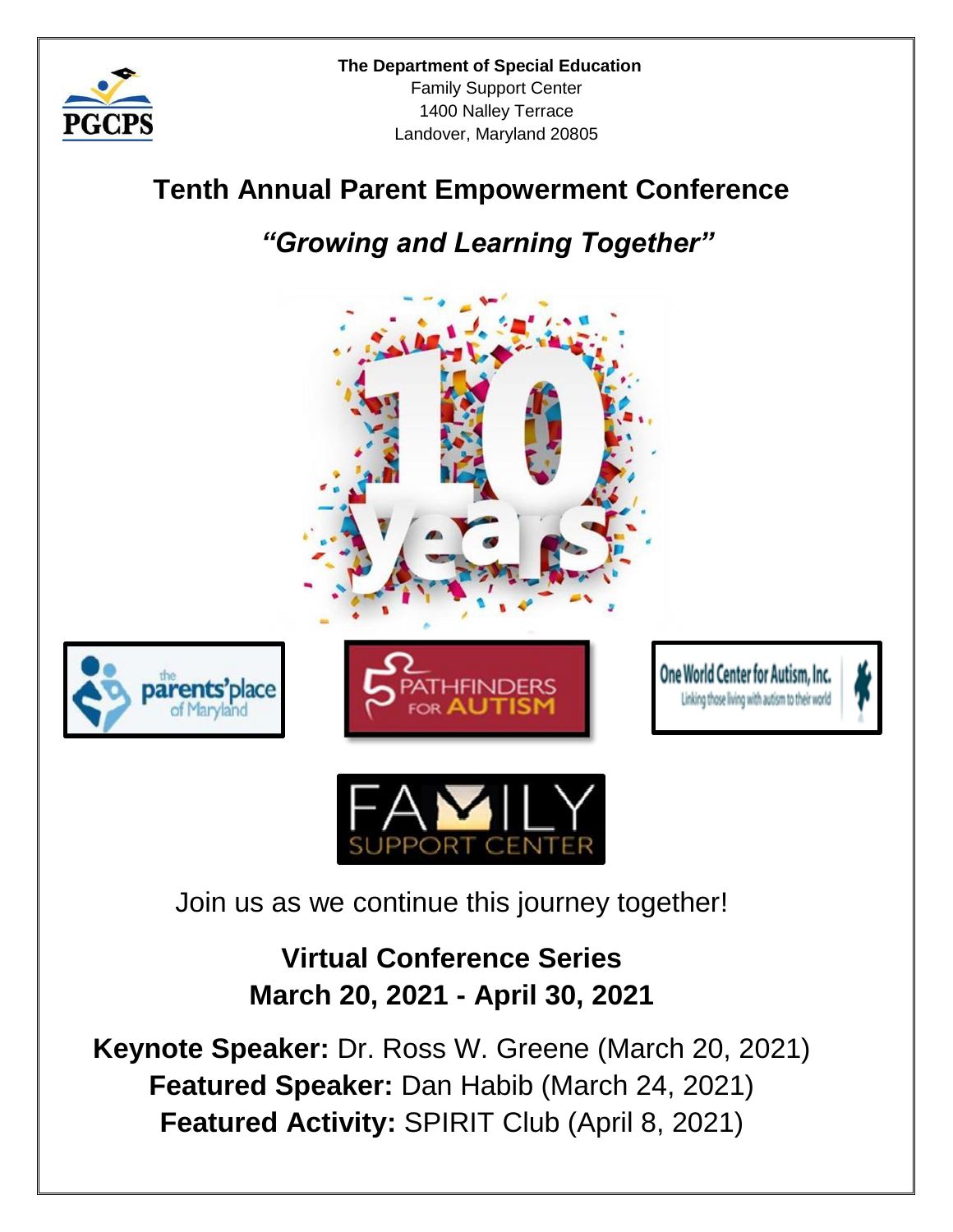

# **Tenth Annual Parent Empowerment Conference**

*"Growing and Learning Together"* 











Join us as we continue this journey together!

**Virtual Conference Series March 20, 2021 - April 30, 2021**

**Keynote Speaker:** Dr. Ross W. Greene (March 20, 2021) **Featured Speaker:** Dan Habib (March 24, 2021) **Featured Activity:** SPIRIT Club (April 8, 2021)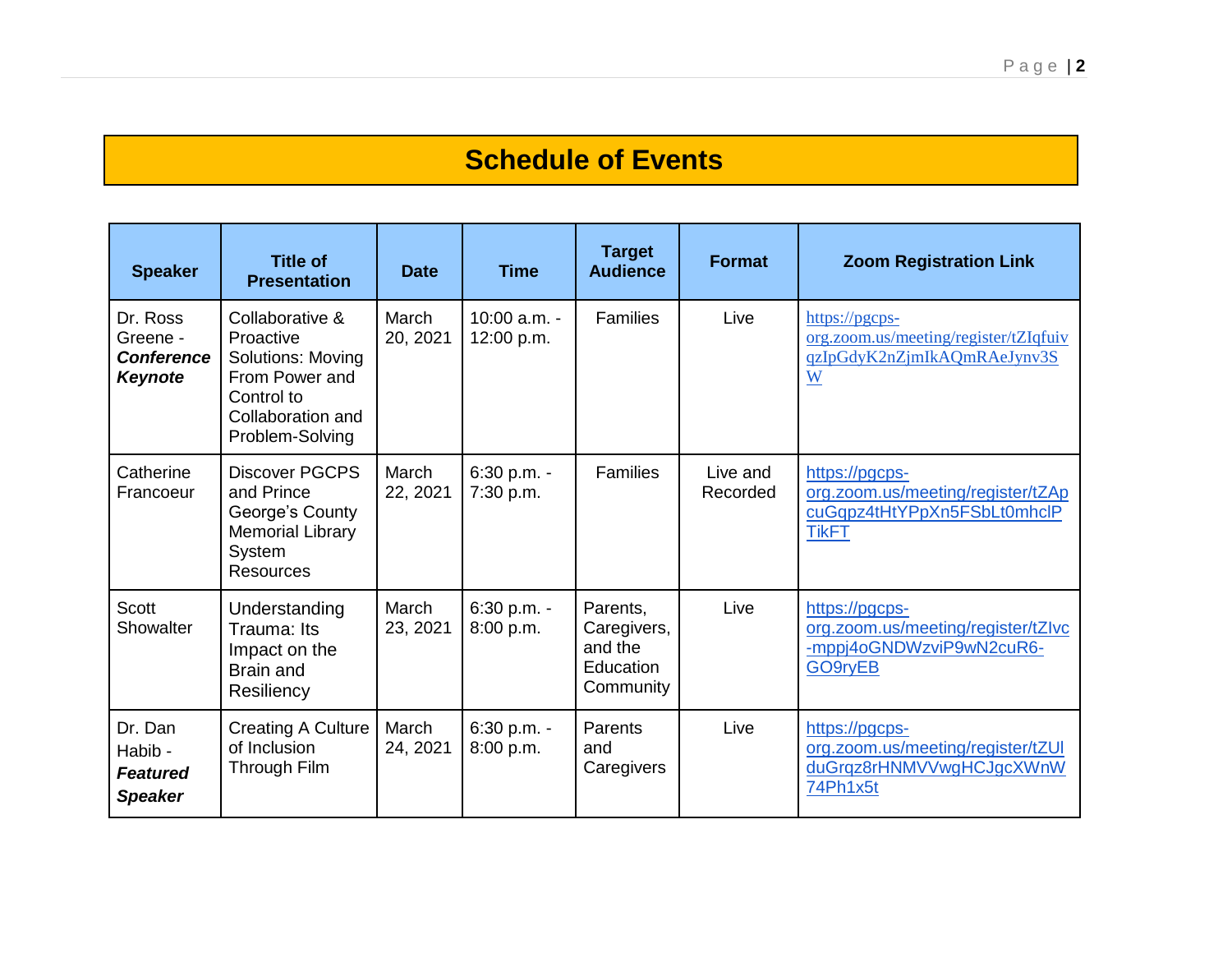# **Schedule of Events**

| <b>Speaker</b>                                              | <b>Title of</b><br><b>Presentation</b>                                                                                    | <b>Date</b>       | <b>Time</b>                  | <b>Target</b><br><b>Audience</b>                             | <b>Format</b>        | <b>Zoom Registration Link</b>                                                                      |
|-------------------------------------------------------------|---------------------------------------------------------------------------------------------------------------------------|-------------------|------------------------------|--------------------------------------------------------------|----------------------|----------------------------------------------------------------------------------------------------|
| Dr. Ross<br>Greene -<br><b>Conference</b><br><b>Keynote</b> | Collaborative &<br>Proactive<br>Solutions: Moving<br>From Power and<br>Control to<br>Collaboration and<br>Problem-Solving | March<br>20, 2021 | $10:00$ a.m. -<br>12:00 p.m. | Families                                                     | Live                 | https://pgcps-<br>org.zoom.us/meeting/register/tZIqfuiv<br>qzIpGdyK2nZjmIkAQmRAeJynv3S<br>W        |
| Catherine<br>Francoeur                                      | <b>Discover PGCPS</b><br>and Prince<br>George's County<br><b>Memorial Library</b><br>System<br><b>Resources</b>           | March<br>22, 2021 | 6:30 p.m. -<br>7:30 p.m.     | <b>Families</b>                                              | Live and<br>Recorded | https://pgcps-<br>org.zoom.us/meeting/register/tZAp<br>cuGqpz4tHtYPpXn5FSbLt0mhclP<br><b>TikFT</b> |
| <b>Scott</b><br>Showalter                                   | Understanding<br>Trauma: Its<br>Impact on the<br><b>Brain and</b><br>Resiliency                                           | March<br>23, 2021 | $6:30$ p.m. -<br>8:00 p.m.   | Parents,<br>Caregivers,<br>and the<br>Education<br>Community | Live                 | https://pgcps-<br>org.zoom.us/meeting/register/tZlvc<br>-mppj4oGNDWzviP9wN2cuR6-<br>GO9ryEB        |
| Dr. Dan<br>Habib -<br><b>Featured</b><br><b>Speaker</b>     | <b>Creating A Culture</b><br>of Inclusion<br>Through Film                                                                 | March<br>24, 2021 | 6:30 p.m. -<br>8:00 p.m.     | Parents<br>and<br>Caregivers                                 | Live                 | https://pgcps-<br>org.zoom.us/meeting/register/tZUI<br>duGrqz8rHNMVVwgHCJgcXWnW<br>74Ph1x5t        |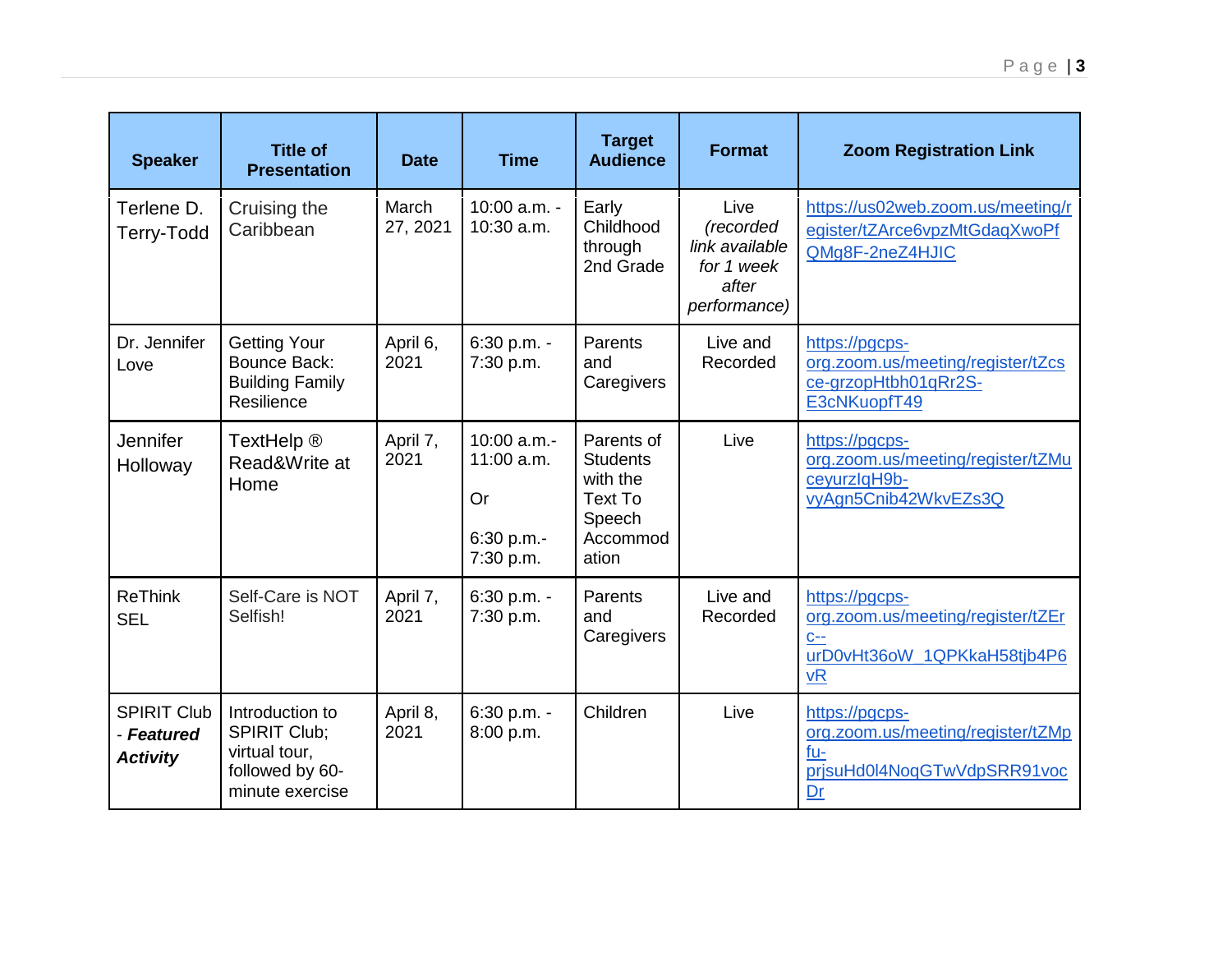| <b>Speaker</b>                                      | <b>Title of</b><br><b>Presentation</b>                                                        | <b>Date</b>       | <b>Time</b>                                                | <b>Target</b><br><b>Audience</b>                                                           | <b>Format</b>                                                              | <b>Zoom Registration Link</b>                                                                            |
|-----------------------------------------------------|-----------------------------------------------------------------------------------------------|-------------------|------------------------------------------------------------|--------------------------------------------------------------------------------------------|----------------------------------------------------------------------------|----------------------------------------------------------------------------------------------------------|
| Terlene D.<br>Terry-Todd                            | Cruising the<br>Caribbean                                                                     | March<br>27, 2021 | 10:00 a.m. -<br>10:30 a.m.                                 | Early<br>Childhood<br>through<br>2nd Grade                                                 | Live<br>(recorded<br>link available<br>for 1 week<br>after<br>performance) | https://us02web.zoom.us/meeting/r<br>egister/tZArce6vpzMtGdagXwoPf<br>QMg8F-2neZ4HJIC                    |
| Dr. Jennifer<br>Love                                | <b>Getting Your</b><br><b>Bounce Back:</b><br><b>Building Family</b><br>Resilience            | April 6,<br>2021  | 6:30 p.m. -<br>7:30 p.m.                                   | Parents<br>and<br>Caregivers                                                               | Live and<br>Recorded                                                       | https://pgcps-<br>org.zoom.us/meeting/register/tZcs<br>ce-grzopHtbh01qRr2S-<br>E3cNKuopfT49              |
| Jennifer<br>Holloway                                | TextHelp ®<br>Read&Write at<br>Home                                                           | April 7,<br>2021  | 10:00 a.m.-<br>11:00 a.m.<br>Or<br>6:30 p.m.-<br>7:30 p.m. | Parents of<br><b>Students</b><br>with the<br><b>Text To</b><br>Speech<br>Accommod<br>ation | Live                                                                       | https://pgcps-<br>org.zoom.us/meeting/register/tZMu<br>ceyurzlqH9b-<br>vyAgn5Cnib42WkvEZs3Q              |
| <b>ReThink</b><br><b>SEL</b>                        | Self-Care is NOT<br>Selfish!                                                                  | April 7,<br>2021  | 6:30 p.m. -<br>7:30 p.m.                                   | Parents<br>and<br>Caregivers                                                               | Live and<br>Recorded                                                       | https://pgcps-<br>org.zoom.us/meeting/register/tZEr<br>$C--$<br>urD0vHt36oW_1QPKkaH58tjb4P6<br><b>vR</b> |
| <b>SPIRIT Club</b><br>- Featured<br><b>Activity</b> | Introduction to<br><b>SPIRIT Club:</b><br>virtual tour,<br>followed by 60-<br>minute exercise | April 8,<br>2021  | 6:30 p.m. -<br>8:00 p.m.                                   | Children                                                                                   | Live                                                                       | https://pgcps-<br>org.zoom.us/meeting/register/tZMp<br>$fu-$<br>prjsuHd0l4NoqGTwVdpSRR91voc<br>Dr        |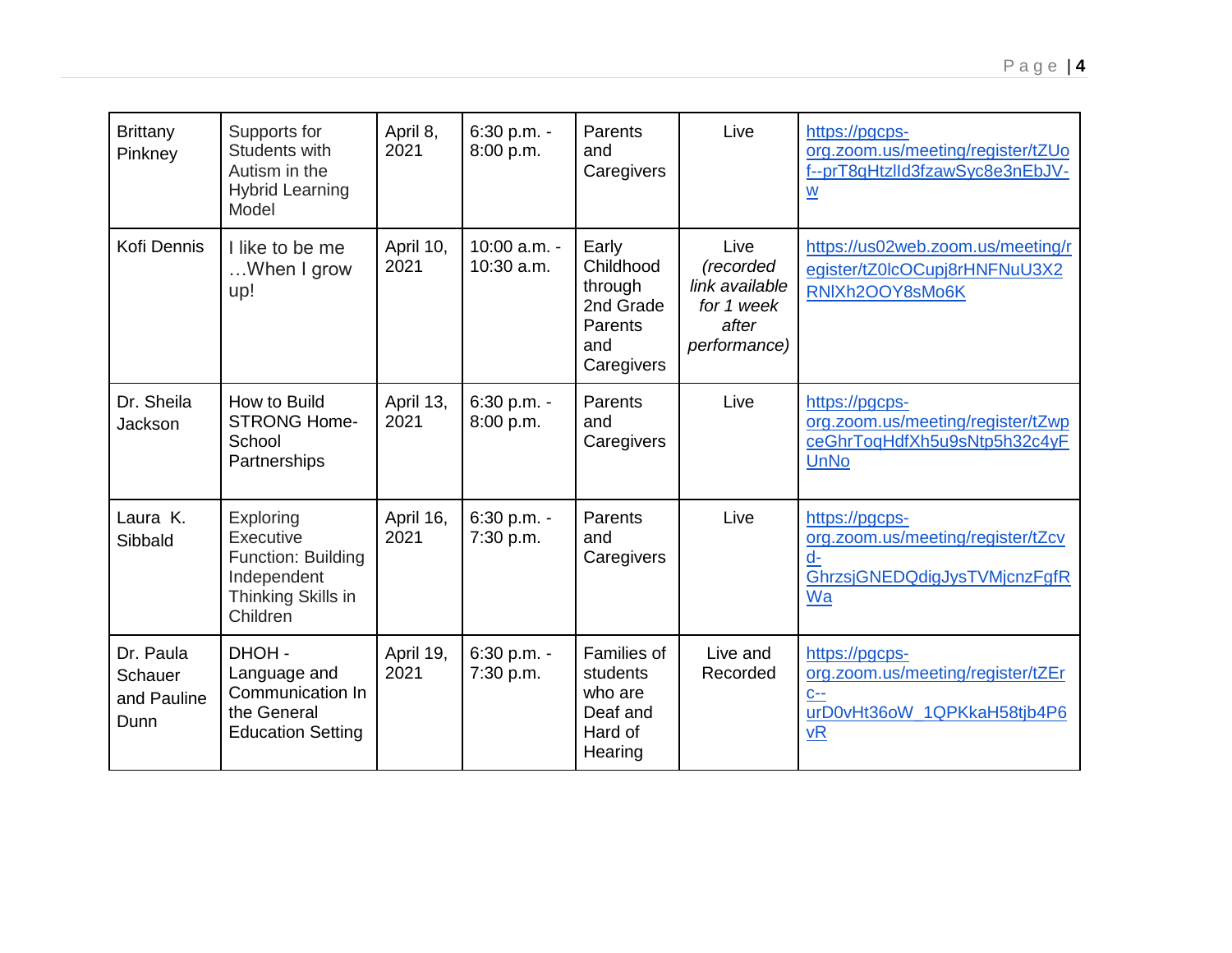| <b>Brittany</b><br>Pinkney                  | Supports for<br><b>Students with</b><br>Autism in the<br><b>Hybrid Learning</b><br>Model             | April 8,<br>2021  | 6:30 p.m. -<br>8:00 p.m.       | Parents<br>and<br>Caregivers                                               | Live                                                                       | https://pgcps-<br>org.zoom.us/meeting/register/tZUo<br>f--prT8qHtzlld3fzawSyc8e3nEbJV-<br>$\underline{\mathsf{w}}$ |
|---------------------------------------------|------------------------------------------------------------------------------------------------------|-------------------|--------------------------------|----------------------------------------------------------------------------|----------------------------------------------------------------------------|--------------------------------------------------------------------------------------------------------------------|
| Kofi Dennis                                 | I like to be me<br>When I grow<br>up!                                                                | April 10,<br>2021 | $10:00$ a.m. -<br>$10:30$ a.m. | Early<br>Childhood<br>through<br>2nd Grade<br>Parents<br>and<br>Caregivers | Live<br>(recorded<br>link available<br>for 1 week<br>after<br>performance) | https://us02web.zoom.us/meeting/r<br>egister/tZ0lcOCupj8rHNFNuU3X2<br>RNIXh2OOY8sMo6K                              |
| Dr. Sheila<br>Jackson                       | How to Build<br><b>STRONG Home-</b><br>School<br>Partnerships                                        | April 13,<br>2021 | 6:30 p.m. -<br>8:00 p.m.       | Parents<br>and<br>Caregivers                                               | Live                                                                       | https://pgcps-<br>org.zoom.us/meeting/register/tZwp<br>ceGhrToqHdfXh5u9sNtp5h32c4yF<br><b>UnNo</b>                 |
| Laura K.<br>Sibbald                         | Exploring<br>Executive<br><b>Function: Building</b><br>Independent<br>Thinking Skills in<br>Children | April 16,<br>2021 | 6:30 p.m. -<br>7:30 p.m.       | Parents<br>and<br>Caregivers                                               | Live                                                                       | https://pgcps-<br>org.zoom.us/meeting/register/tZcv<br>$d -$<br>GhrzsjGNEDQdigJysTVMjcnzFgfR<br>Wa                 |
| Dr. Paula<br>Schauer<br>and Pauline<br>Dunn | DHOH-<br>Language and<br>Communication In<br>the General<br><b>Education Setting</b>                 | April 19,<br>2021 | 6:30 p.m. -<br>7:30 p.m.       | Families of<br>students<br>who are<br>Deaf and<br>Hard of<br>Hearing       | Live and<br>Recorded                                                       | https://pgcps-<br>org.zoom.us/meeting/register/tZEr<br>$C--$<br>urD0vHt36oW_1QPKkaH58tjb4P6<br><b>vR</b>           |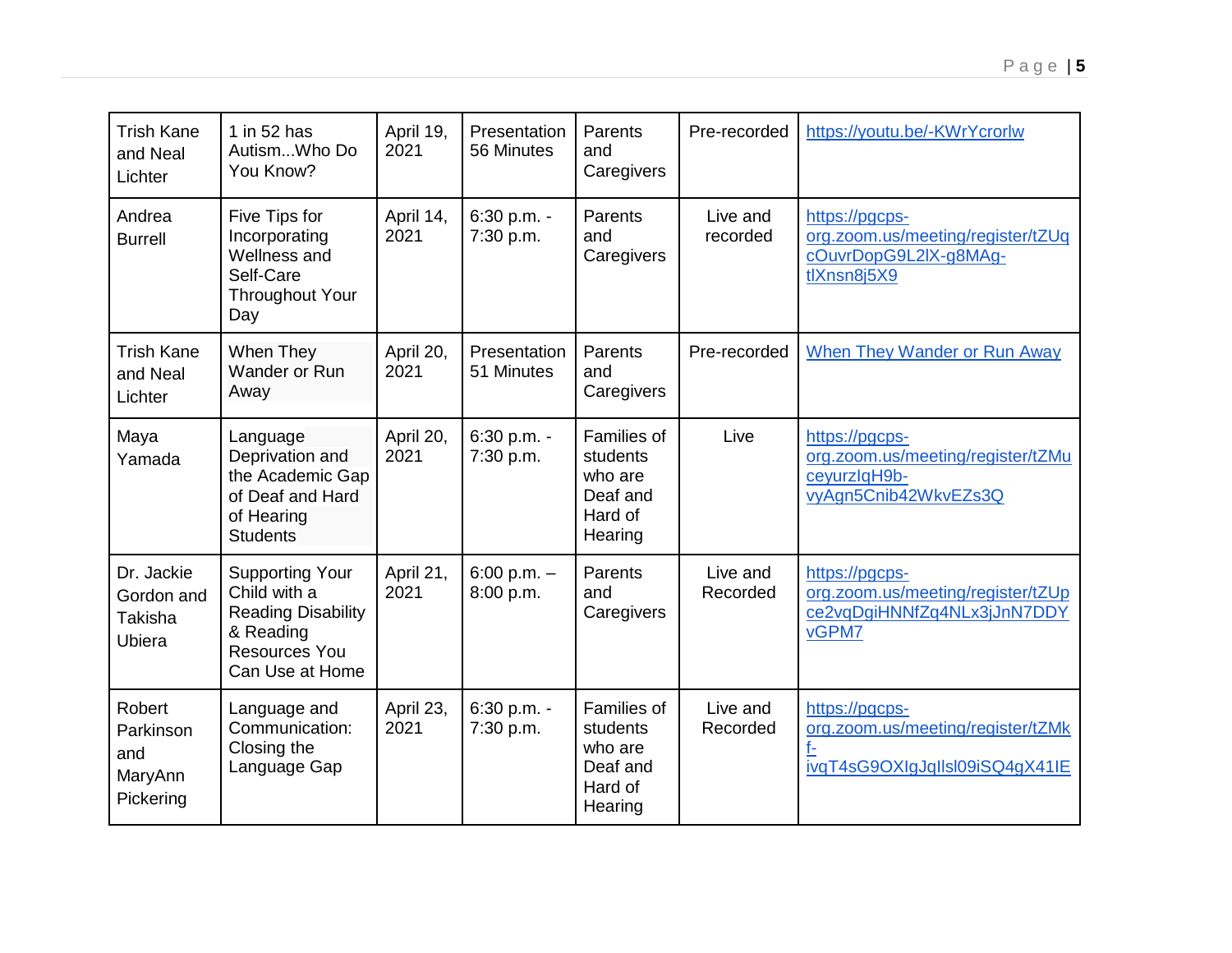| <b>Trish Kane</b><br>and Neal<br>Lichter           | 1 in 52 has<br>AutismWho Do<br>You Know?                                                                             | April 19,<br>2021 | Presentation<br>56 Minutes | Parents<br>and<br>Caregivers                                         | Pre-recorded         | https://youtu.be/-KWrYcrorlw                                                                |
|----------------------------------------------------|----------------------------------------------------------------------------------------------------------------------|-------------------|----------------------------|----------------------------------------------------------------------|----------------------|---------------------------------------------------------------------------------------------|
| Andrea<br><b>Burrell</b>                           | Five Tips for<br>Incorporating<br>Wellness and<br>Self-Care<br><b>Throughout Your</b><br>Day                         | April 14,<br>2021 | 6:30 p.m. -<br>7:30 p.m.   | Parents<br>and<br>Caregivers                                         | Live and<br>recorded | https://pgcps-<br>org.zoom.us/meeting/register/tZUq<br>cOuvrDopG9L2IX-g8MAg-<br>tlXnsn8j5X9 |
| <b>Trish Kane</b><br>and Neal<br>Lichter           | When They<br>Wander or Run<br>Away                                                                                   | April 20,<br>2021 | Presentation<br>51 Minutes | Parents<br>and<br>Caregivers                                         | Pre-recorded         | <b>When They Wander or Run Away</b>                                                         |
| Maya<br>Yamada                                     | Language<br>Deprivation and<br>the Academic Gap<br>of Deaf and Hard<br>of Hearing<br><b>Students</b>                 | April 20,<br>2021 | 6:30 p.m. -<br>7:30 p.m.   | Families of<br>students<br>who are<br>Deaf and<br>Hard of<br>Hearing | Live                 | https://pgcps-<br>org.zoom.us/meeting/register/tZMu<br>ceyurzlqH9b-<br>vyAgn5Cnib42WkvEZs3Q |
| Dr. Jackie<br>Gordon and<br>Takisha<br>Ubiera      | <b>Supporting Your</b><br>Child with a<br><b>Reading Disability</b><br>& Reading<br>Resources You<br>Can Use at Home | April 21,<br>2021 | 6:00 p.m. $-$<br>8:00 p.m. | Parents<br>and<br>Caregivers                                         | Live and<br>Recorded | https://pgcps-<br>org.zoom.us/meeting/register/tZUp<br>ce2vqDgiHNNfZq4NLx3jJnN7DDY<br>vGPM7 |
| Robert<br>Parkinson<br>and<br>MaryAnn<br>Pickering | Language and<br>Communication:<br>Closing the<br>Language Gap                                                        | April 23,<br>2021 | 6:30 p.m. -<br>7:30 p.m.   | Families of<br>students<br>who are<br>Deaf and<br>Hard of<br>Hearing | Live and<br>Recorded | https://pgcps-<br>org.zoom.us/meeting/register/tZMk<br>f-<br>ivqT4sG9OXIgJqllsl09iSQ4gX41IE |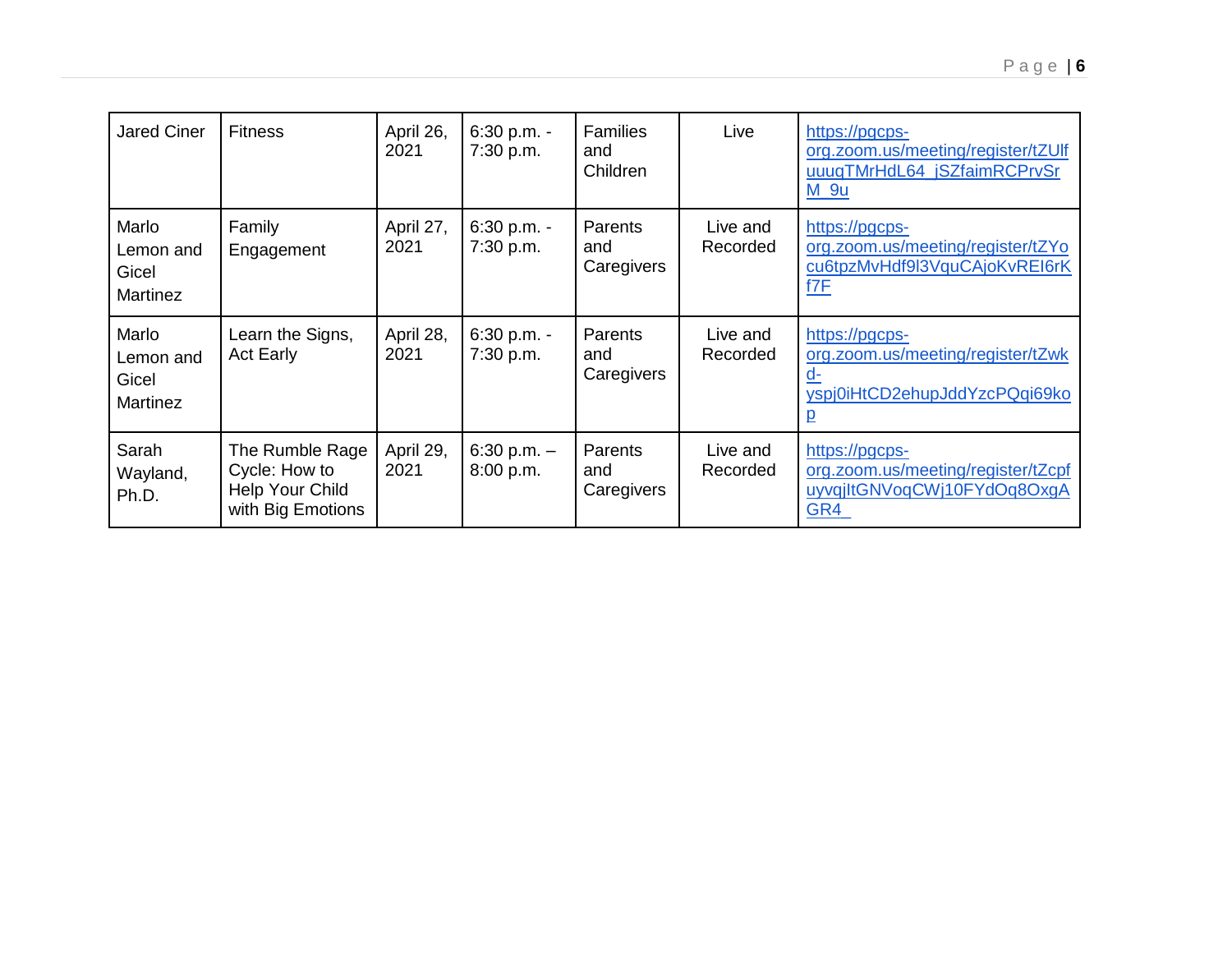| <b>Jared Ciner</b>                             | <b>Fitness</b>                                                           | April 26,<br>2021 | $6:30 p.m. -$<br>7:30 p.m. | <b>Families</b><br>and<br>Children | Live                 | https://pgcps-<br>org.zoom.us/meeting/register/tZUlf<br>uuuqTMrHdL64_jSZfaimRCPrvSr<br>$M_9u$                 |
|------------------------------------------------|--------------------------------------------------------------------------|-------------------|----------------------------|------------------------------------|----------------------|---------------------------------------------------------------------------------------------------------------|
| Marlo<br>Lemon and<br>Gicel<br>Martinez        | Family<br>Engagement                                                     | April 27,<br>2021 | 6:30 p.m. -<br>7:30 p.m.   | Parents<br>and<br>Caregivers       | Live and<br>Recorded | https://pgcps-<br>org.zoom.us/meeting/register/tZYo<br>cu6tpzMvHdf9l3VquCAjoKvREI6rK<br>f7F                   |
| Marlo<br>Lemon and<br>Gicel<br><b>Martinez</b> | Learn the Signs,<br><b>Act Early</b>                                     | April 28,<br>2021 | 6:30 p.m. -<br>7:30 p.m.   | Parents<br>and<br>Caregivers       | Live and<br>Recorded | https://pgcps-<br>org.zoom.us/meeting/register/tZwk<br><u>d-</u><br>yspj0iHtCD2ehupJddYzcPQqi69ko<br><u>p</u> |
| Sarah<br>Wayland,<br>Ph.D.                     | The Rumble Rage<br>Cycle: How to<br>Help Your Child<br>with Big Emotions | April 29,<br>2021 | 6:30 p.m. $-$<br>8:00 p.m. | Parents<br>and<br>Caregivers       | Live and<br>Recorded | https://pgcps-<br>org.zoom.us/meeting/register/tZcpf<br>uyvqiltGNVoqCWj10FYdOq8OxgA<br>GR4                    |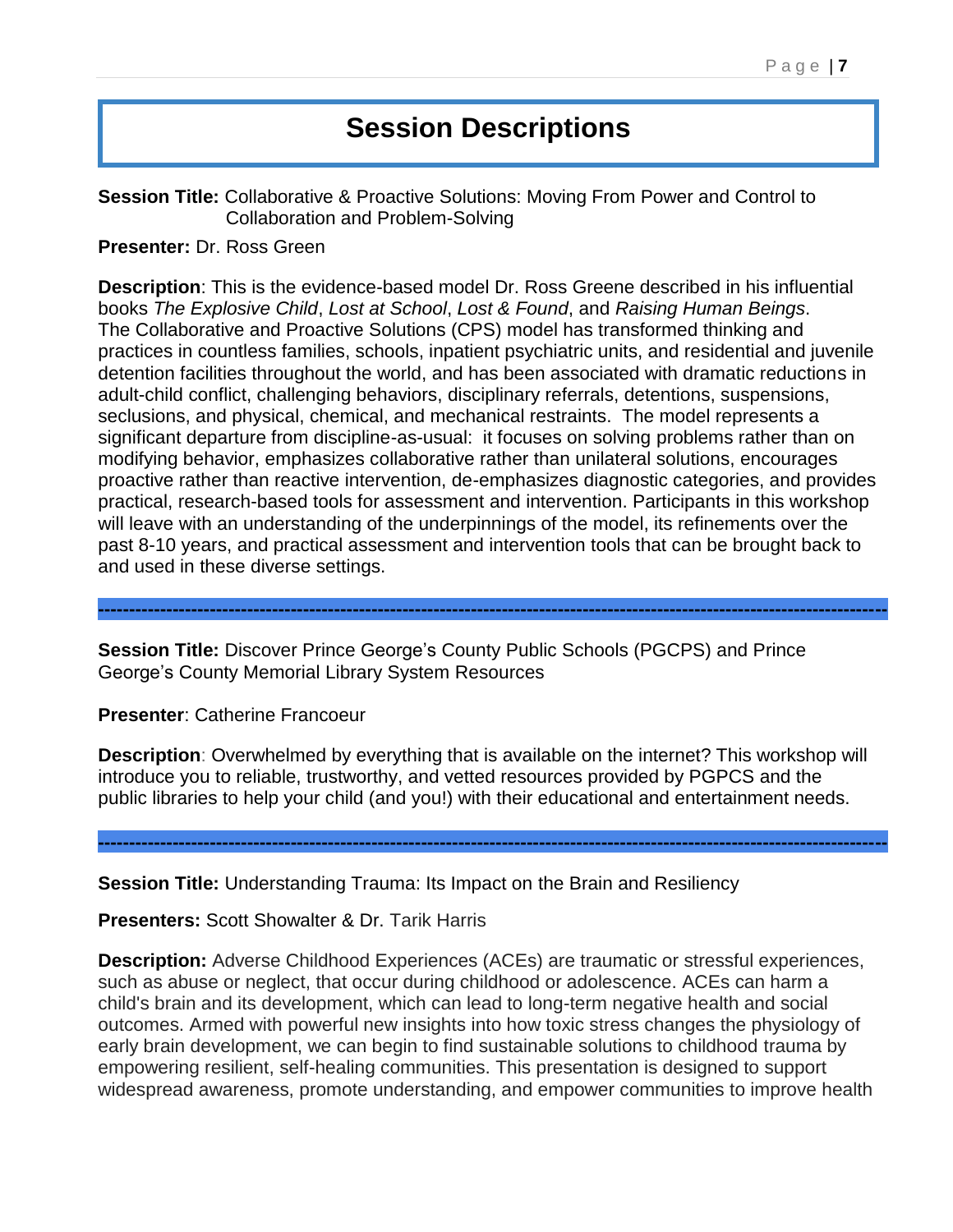# **Session Descriptions**

**Session Title:** Collaborative & Proactive Solutions: Moving From Power and Control to Collaboration and Problem-Solving

**Presenter:** Dr. Ross Green

**Description**: This is the evidence-based model Dr. Ross Greene described in his influential books *The Explosive Child*, *Lost at School*, *Lost & Found*, and *Raising Human Beings*. The Collaborative and Proactive Solutions (CPS) model has transformed thinking and practices in countless families, schools, inpatient psychiatric units, and residential and juvenile detention facilities throughout the world, and has been associated with dramatic reductions in adult-child conflict, challenging behaviors, disciplinary referrals, detentions, suspensions, seclusions, and physical, chemical, and mechanical restraints. The model represents a significant departure from discipline-as-usual: it focuses on solving problems rather than on modifying behavior, emphasizes collaborative rather than unilateral solutions, encourages proactive rather than reactive intervention, de-emphasizes diagnostic categories, and provides practical, research-based tools for assessment and intervention. Participants in this workshop will leave with an understanding of the underpinnings of the model, its refinements over the past 8-10 years, and practical assessment and intervention tools that can be brought back to and used in these diverse settings.

**Session Title:** Discover Prince George's County Public Schools (PGCPS) and Prince George's County Memorial Library System Resources

**Presenter**: Catherine Francoeur

**Description**: Overwhelmed by everything that is available on the internet? This workshop will introduce you to reliable, trustworthy, and vetted resources provided by PGPCS and the public libraries to help your child (and you!) with their educational and entertainment needs.

**-------------------------------------------------------------------------------------------------------------------------------**

**-------------------------------------------------------------------------------------------------------------------------------**

**Session Title:** Understanding Trauma: Its Impact on the Brain and Resiliency

**Presenters:** Scott Showalter & Dr. Tarik Harris

**Description:** Adverse Childhood Experiences (ACEs) are traumatic or stressful experiences, such as abuse or neglect, that occur during childhood or adolescence. ACEs can harm a child's brain and its development, which can lead to long-term negative health and social outcomes. Armed with powerful new insights into how toxic stress changes the physiology of early brain development, we can begin to find sustainable solutions to childhood trauma by empowering resilient, self-healing communities. This presentation is designed to support widespread awareness, promote understanding, and empower communities to improve health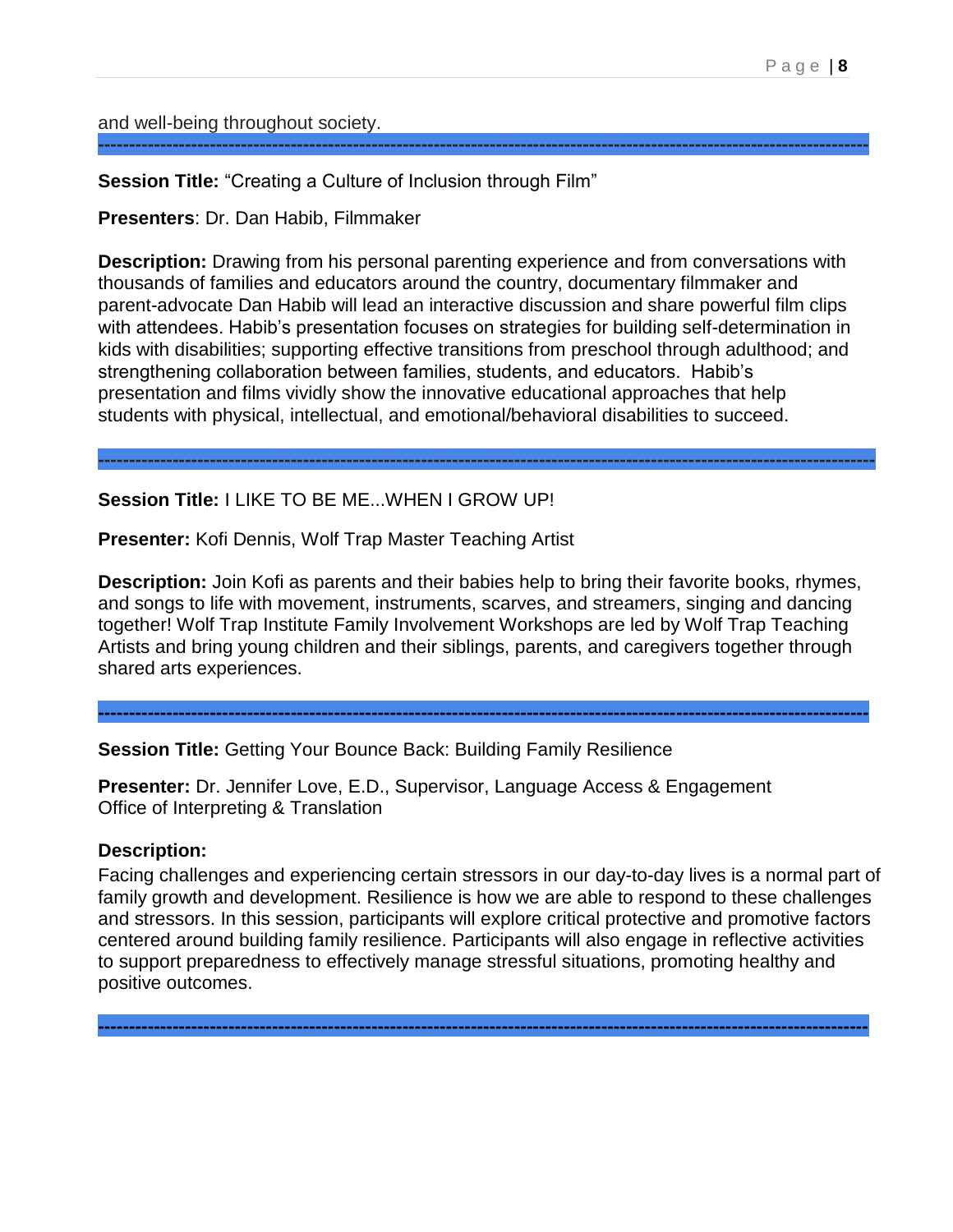and well-being throughout society.

**Session Title:** "Creating a Culture of Inclusion through Film"

**Presenters**: Dr. Dan Habib, Filmmaker

**Description:** Drawing from his personal parenting experience and from conversations with thousands of families and educators around the country, documentary filmmaker and parent-advocate Dan Habib will lead an interactive discussion and share powerful film clips with attendees. Habib's presentation focuses on strategies for building self-determination in kids with disabilities; supporting effective transitions from preschool through adulthood; and strengthening collaboration between families, students, and educators. Habib's presentation and films vividly show the innovative educational approaches that help students with physical, intellectual, and emotional/behavioral disabilities to succeed.

**-----------------------------------------------------------------------------------------------------------------------------**

**----------------------------------------------------------------------------------------------------------------------------**

#### **Session Title:** I LIKE TO BE ME...WHEN I GROW UP!

**Presenter:** Kofi Dennis, Wolf Trap Master Teaching Artist

**Description:** Join Kofi as parents and their babies help to bring their favorite books, rhymes, and songs to life with movement, instruments, scarves, and streamers, singing and dancing together! Wolf Trap Institute Family Involvement Workshops are led by Wolf Trap Teaching Artists and bring young children and their siblings, parents, and caregivers together through shared arts experiences.

**----------------------------------------------------------------------------------------------------------------------------**

**Session Title:** Getting Your Bounce Back: Building Family Resilience

**Presenter:** Dr. Jennifer Love, E.D., Supervisor, Language Access & Engagement Office of Interpreting & Translation

#### **Description:**

Facing challenges and experiencing certain stressors in our day-to-day lives is a normal part of family growth and development. Resilience is how we are able to respond to these challenges and stressors. In this session, participants will explore critical protective and promotive factors centered around building family resilience. Participants will also engage in reflective activities to support preparedness to effectively manage stressful situations, promoting healthy and positive outcomes.

**----------------------------------------------------------------------------------------------------------------------------**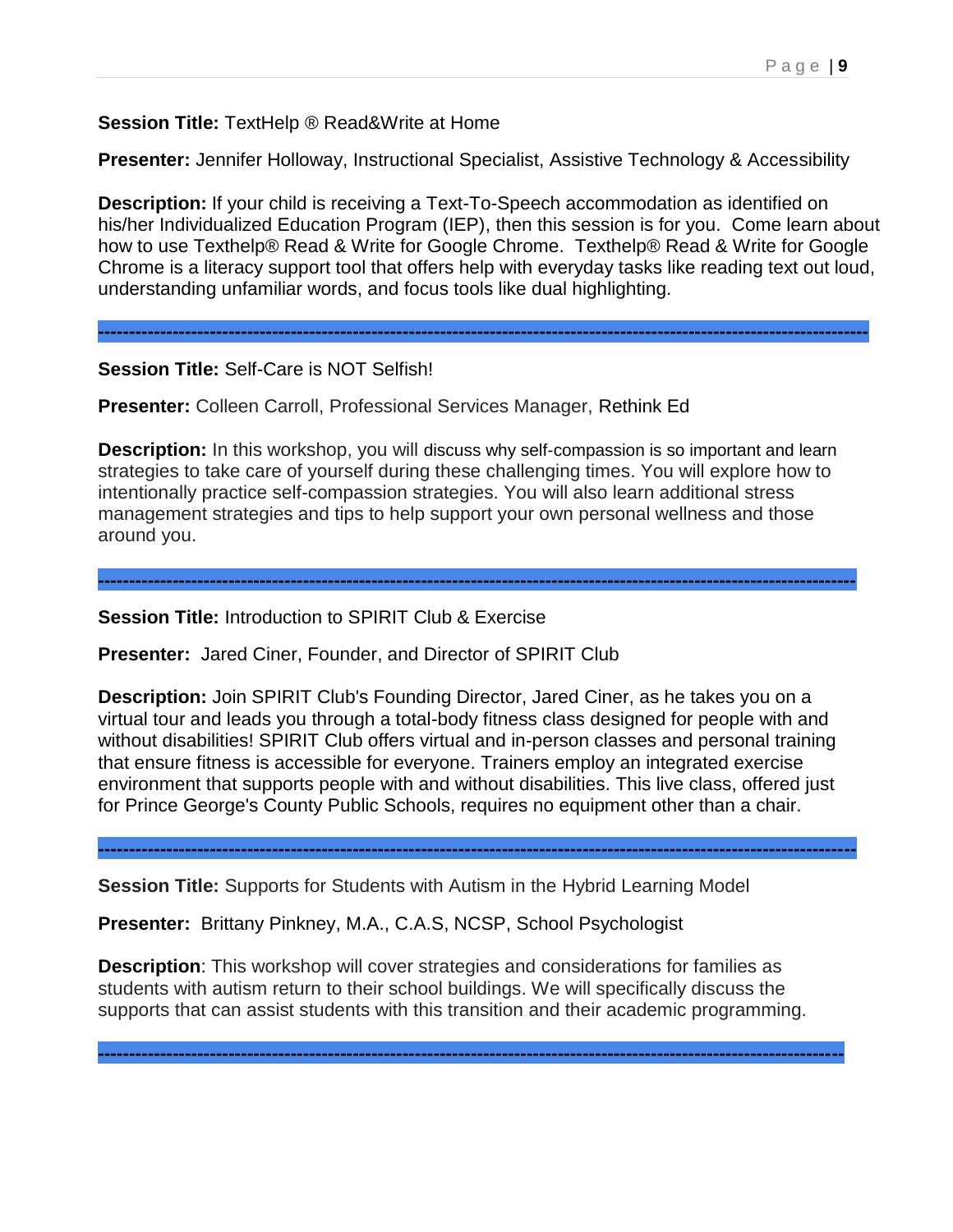**Session Title:** TextHelp ® Read&Write at Home

**Presenter:** Jennifer Holloway, Instructional Specialist, Assistive Technology & Accessibility

**Description:** If your child is receiving a Text-To-Speech accommodation as identified on his/her Individualized Education Program (IEP), then this session is for you. Come learn about how to use Texthelp® Read & Write for Google Chrome. Texthelp® Read & Write for Google Chrome is a literacy support tool that offers help with everyday tasks like reading text out loud, understanding unfamiliar words, and focus tools like dual highlighting.

**----------------------------------------------------------------------------------------------------------------------------**

**Session Title:** Self-Care is NOT Selfish!

**Presenter:** Colleen Carroll, Professional Services Manager, Rethink Ed

**Description:** In this workshop, you will discuss why self-compassion is so important and learn strategies to take care of yourself during these challenging times. You will explore how to intentionally practice self-compassion strategies. You will also learn additional stress management strategies and tips to help support your own personal wellness and those around you.

**--------------------------------------------------------------------------------------------------------------------------**

**Session Title:** Introduction to SPIRIT Club & Exercise

**Presenter:** Jared Ciner, Founder, and Director of SPIRIT Club

**Description:** Join SPIRIT Club's Founding Director, Jared Ciner, as he takes you on a virtual tour and leads you through a total-body fitness class designed for people with and without disabilities! SPIRIT Club offers virtual and in-person classes and personal training that ensure fitness is accessible for everyone. Trainers employ an integrated exercise environment that supports people with and without disabilities. This live class, offered just for Prince George's County Public Schools, requires no equipment other than a chair.

**--------------------------------------------------------------------------------------------------------------------------**

**Session Title:** Supports for Students with Autism in the Hybrid Learning Model

**Presenter:** Brittany Pinkney, M.A., C.A.S, NCSP, School Psychologist

**Description**: This workshop will cover strategies and considerations for families as students with autism return to their school buildings. We will specifically discuss the supports that can assist students with this transition and their academic programming.

**------------------------------------------------------------------------------------------------------------------------**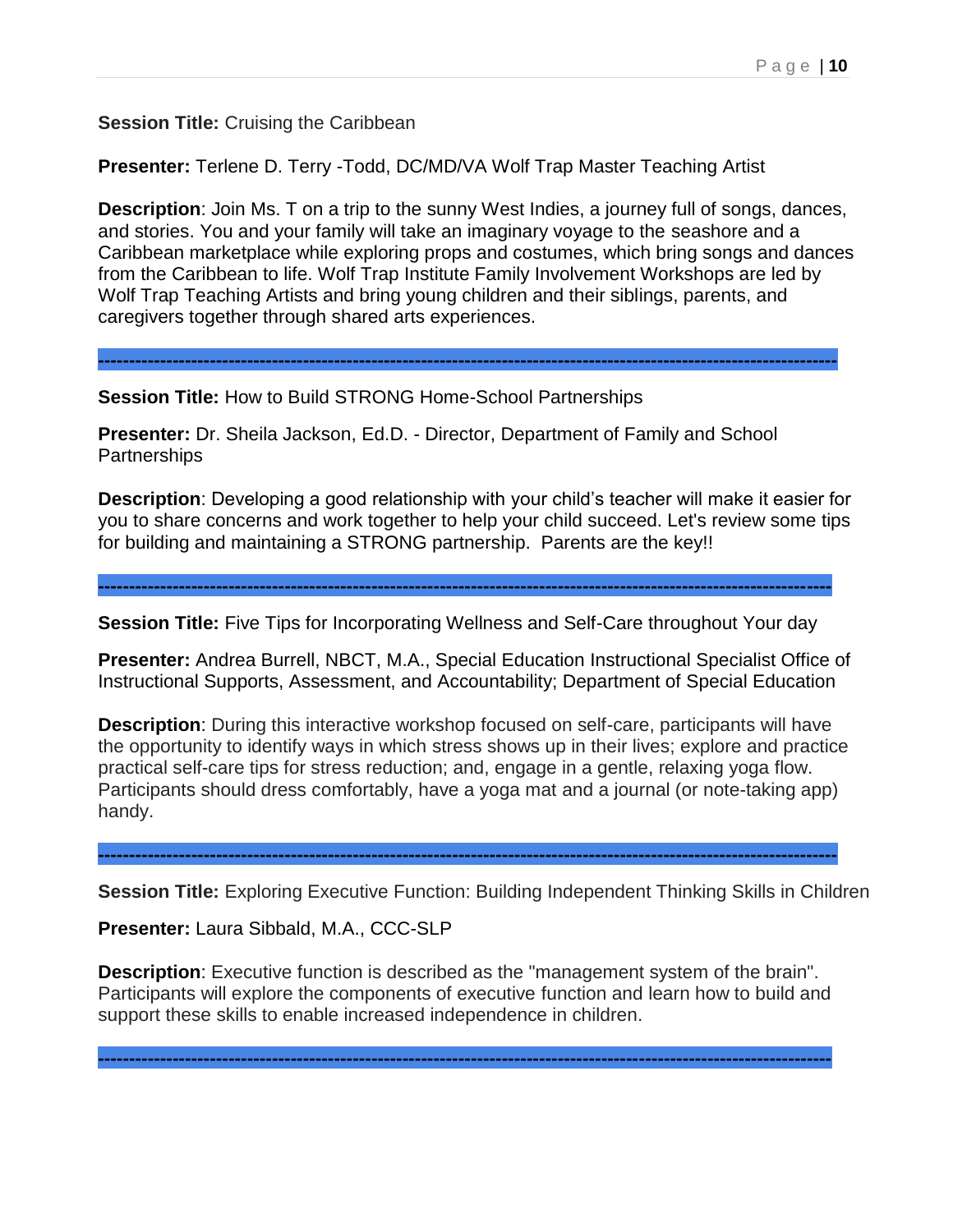**Session Title:** Cruising the Caribbean

**Presenter:** Terlene D. Terry -Todd, DC/MD/VA Wolf Trap Master Teaching Artist

**Description**: Join Ms. T on a trip to the sunny West Indies, a journey full of songs, dances, and stories. You and your family will take an imaginary voyage to the seashore and a Caribbean marketplace while exploring props and costumes, which bring songs and dances from the Caribbean to life. Wolf Trap Institute Family Involvement Workshops are led by Wolf Trap Teaching Artists and bring young children and their siblings, parents, and caregivers together through shared arts experiences.

**-----------------------------------------------------------------------------------------------------------------------**

**Session Title:** How to Build STRONG Home-School Partnerships

**Presenter:** Dr. Sheila Jackson, Ed.D. - Director, Department of Family and School Partnerships

**Description**: Developing a good relationship with your child's teacher will make it easier for you to share concerns and work together to help your child succeed. Let's review some tips for building and maintaining a STRONG partnership. Parents are the key!!

**Session Title:** Five Tips for Incorporating Wellness and Self-Care throughout Your day

**----------------------------------------------------------------------------------------------------------------------**

**Presenter:** Andrea Burrell, NBCT, M.A., Special Education Instructional Specialist Office of Instructional Supports, Assessment, and Accountability; Department of Special Education

**Description**: During this interactive workshop focused on self-care, participants will have the opportunity to identify ways in which stress shows up in their lives; explore and practice practical self-care tips for stress reduction; and, engage in a gentle, relaxing yoga flow. Participants should dress comfortably, have a yoga mat and a journal (or note-taking app) handy.

**-----------------------------------------------------------------------------------------------------------------------**

**Session Title:** Exploring Executive Function: Building Independent Thinking Skills in Children

**Presenter:** Laura Sibbald, M.A., CCC-SLP

**Description**: Executive function is described as the "management system of the brain". Participants will explore the components of executive function and learn how to build and support these skills to enable increased independence in children.

**----------------------------------------------------------------------------------------------------------------------**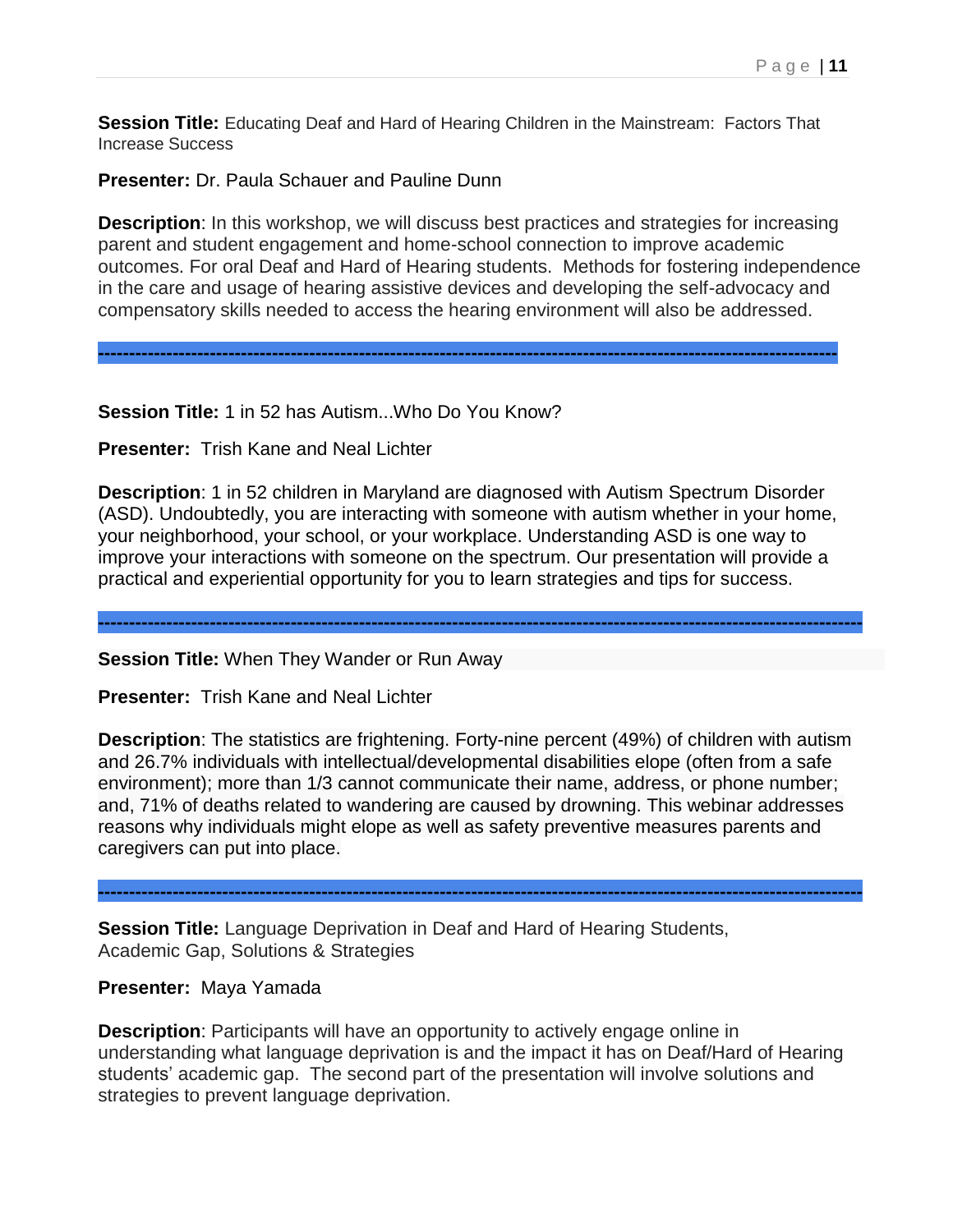**Session Title:** Educating Deaf and Hard of Hearing Children in the Mainstream: Factors That Increase Success

**Presenter:** Dr. Paula Schauer and Pauline Dunn

**Description**: In this workshop, we will discuss best practices and strategies for increasing parent and student engagement and home-school connection to improve academic outcomes. For oral Deaf and Hard of Hearing students. Methods for fostering independence in the care and usage of hearing assistive devices and developing the self-advocacy and compensatory skills needed to access the hearing environment will also be addressed.

**-----------------------------------------------------------------------------------------------------------------------**

**Session Title:** 1 in 52 has Autism...Who Do You Know?

**Presenter:** Trish Kane and Neal Lichter

**Description**: 1 in 52 children in Maryland are diagnosed with Autism Spectrum Disorder (ASD). Undoubtedly, you are interacting with someone with autism whether in your home, your neighborhood, your school, or your workplace. Understanding ASD is one way to improve your interactions with someone on the spectrum. Our presentation will provide a practical and experiential opportunity for you to learn strategies and tips for success.

**---------------------------------------------------------------------------------------------------------------------------**

**Session Title:** When They Wander or Run Away

**Presenter:** Trish Kane and Neal Lichter

**Description**: The statistics are frightening. Forty-nine percent (49%) of children with autism and 26.7% individuals with intellectual/developmental disabilities elope (often from a safe environment); more than 1/3 cannot communicate their name, address, or phone number; and, 71% of deaths related to wandering are caused by drowning. This webinar addresses reasons why individuals might elope as well as safety preventive measures parents and caregivers can put into place.

**---------------------------------------------------------------------------------------------------------------------------**

**Session Title:** Language Deprivation in Deaf and Hard of Hearing Students, Academic Gap, Solutions & Strategies

#### **Presenter:** Maya Yamada

**Description**: Participants will have an opportunity to actively engage online in understanding what language deprivation is and the impact it has on Deaf/Hard of Hearing students' academic gap. The second part of the presentation will involve solutions and strategies to prevent language deprivation.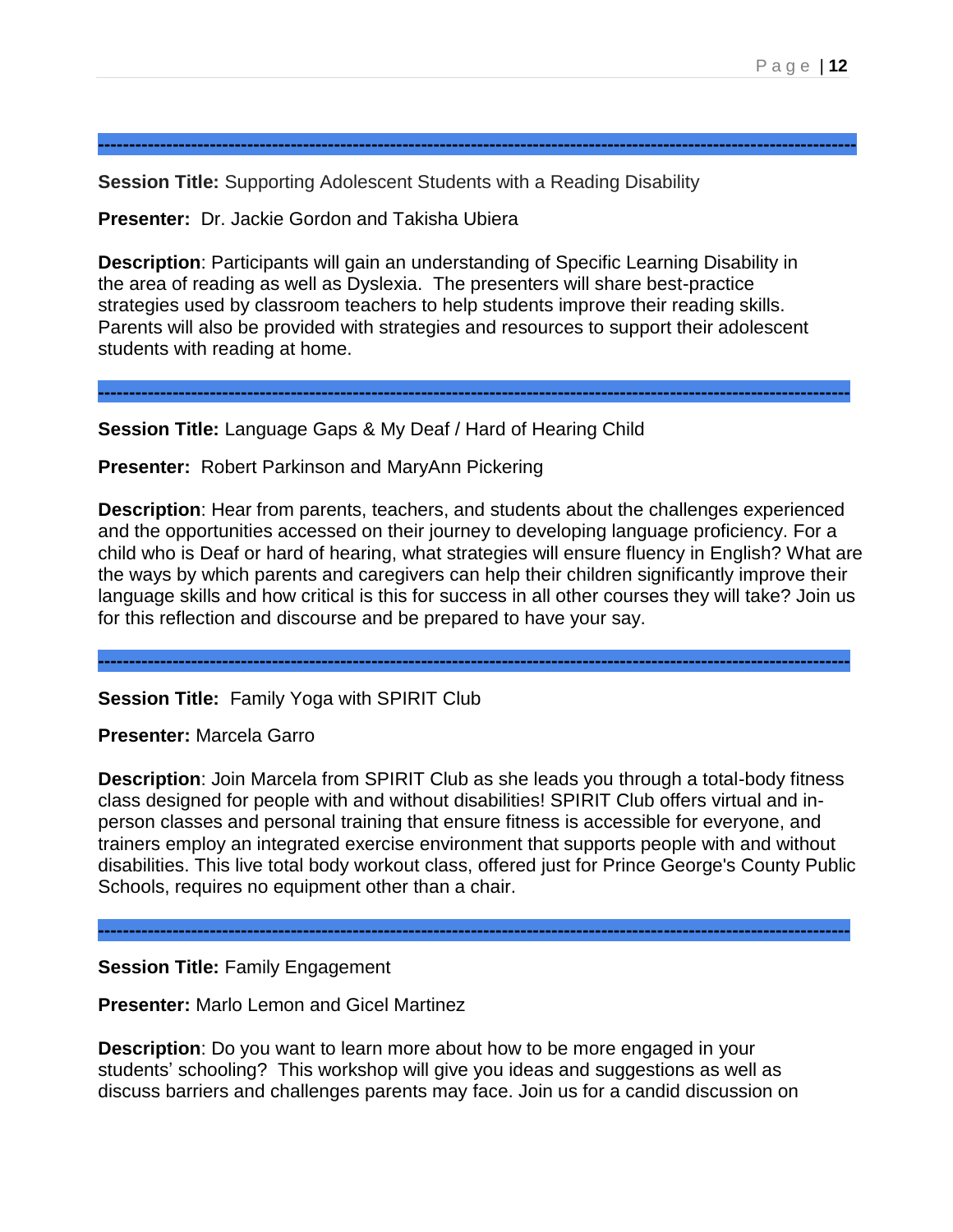**Session Title:** Supporting Adolescent Students with a Reading Disability

**Presenter:** Dr. Jackie Gordon and Takisha Ubiera

**Description**: Participants will gain an understanding of Specific Learning Disability in the area of reading as well as Dyslexia. The presenters will share best-practice strategies used by classroom teachers to help students improve their reading skills. Parents will also be provided with strategies and resources to support their adolescent students with reading at home.

**-------------------------------------------------------------------------------------------------------------------------**

**--------------------------------------------------------------------------------------------------------------------------**

**Session Title:** Language Gaps & My Deaf / Hard of Hearing Child

**Presenter:** Robert Parkinson and MaryAnn Pickering

**Description**: Hear from parents, teachers, and students about the challenges experienced and the opportunities accessed on their journey to developing language proficiency. For a child who is Deaf or hard of hearing, what strategies will ensure fluency in English? What are the ways by which parents and caregivers can help their children significantly improve their language skills and how critical is this for success in all other courses they will take? Join us for this reflection and discourse and be prepared to have your say.

**-------------------------------------------------------------------------------------------------------------------------**

**Session Title:** Family Yoga with SPIRIT Club

**Presenter:** Marcela Garro

**Description**: Join Marcela from SPIRIT Club as she leads you through a total-body fitness class designed for people with and without disabilities! SPIRIT Club offers virtual and inperson classes and personal training that ensure fitness is accessible for everyone, and trainers employ an integrated exercise environment that supports people with and without disabilities. This live total body workout class, offered just for Prince George's County Public Schools, requires no equipment other than a chair.

**-------------------------------------------------------------------------------------------------------------------------**

**Session Title:** Family Engagement

**Presenter:** Marlo Lemon and Gicel Martinez

**Description**: Do you want to learn more about how to be more engaged in your students' schooling? This workshop will give you ideas and suggestions as well as discuss barriers and challenges parents may face. Join us for a candid discussion on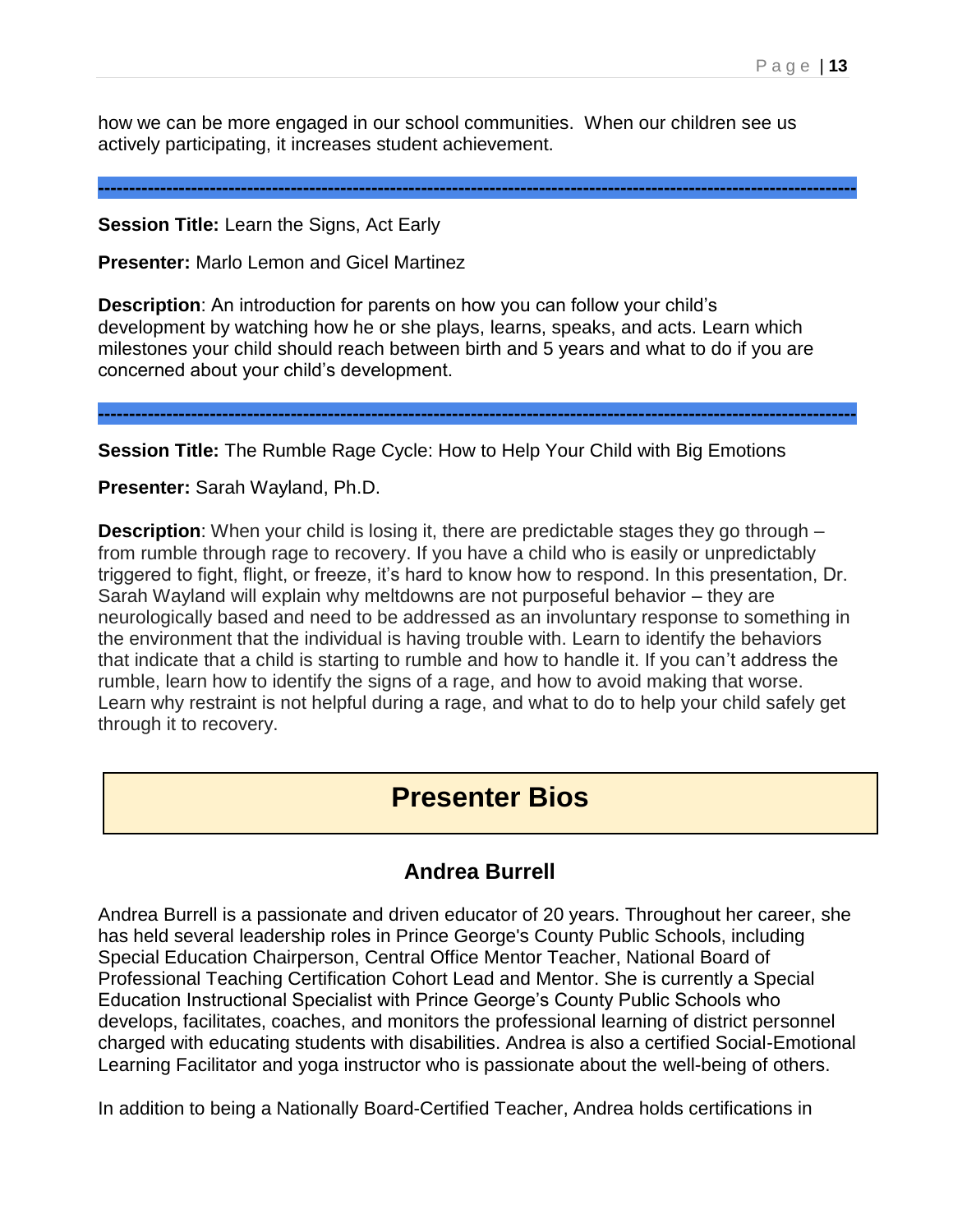how we can be more engaged in our school communities. When our children see us actively participating, it increases student achievement.

**--------------------------------------------------------------------------------------------------------------------------**

**Session Title:** Learn the Signs, Act Early

**Presenter:** Marlo Lemon and Gicel Martinez

**Description**: An introduction for parents on how you can follow your child's development by watching how he or she plays, learns, speaks, and acts. Learn which milestones your child should reach between birth and 5 years and what to do if you are concerned about your child's development.

**--------------------------------------------------------------------------------------------------------------------------**

**Session Title:** The Rumble Rage Cycle: How to Help Your Child with Big Emotions

**Presenter:** Sarah Wayland, Ph.D.

**Description**: When your child is losing it, there are predictable stages they go through – from rumble through rage to recovery. If you have a child who is easily or unpredictably triggered to fight, flight, or freeze, it's hard to know how to respond. In this presentation, Dr. Sarah Wayland will explain why meltdowns are not purposeful behavior – they are neurologically based and need to be addressed as an involuntary response to something in the environment that the individual is having trouble with. Learn to identify the behaviors that indicate that a child is starting to rumble and how to handle it. If you can't address the rumble, learn how to identify the signs of a rage, and how to avoid making that worse. Learn why restraint is not helpful during a rage, and what to do to help your child safely get through it to recovery.

# **Presenter Bios**

### **Andrea Burrell**

Andrea Burrell is a passionate and driven educator of 20 years. Throughout her career, she has held several leadership roles in Prince George's County Public Schools, including Special Education Chairperson, Central Office Mentor Teacher, National Board of Professional Teaching Certification Cohort Lead and Mentor. She is currently a Special Education Instructional Specialist with Prince George's County Public Schools who develops, facilitates, coaches, and monitors the professional learning of district personnel charged with educating students with disabilities. Andrea is also a certified Social-Emotional Learning Facilitator and yoga instructor who is passionate about the well-being of others.

In addition to being a Nationally Board-Certified Teacher, Andrea holds certifications in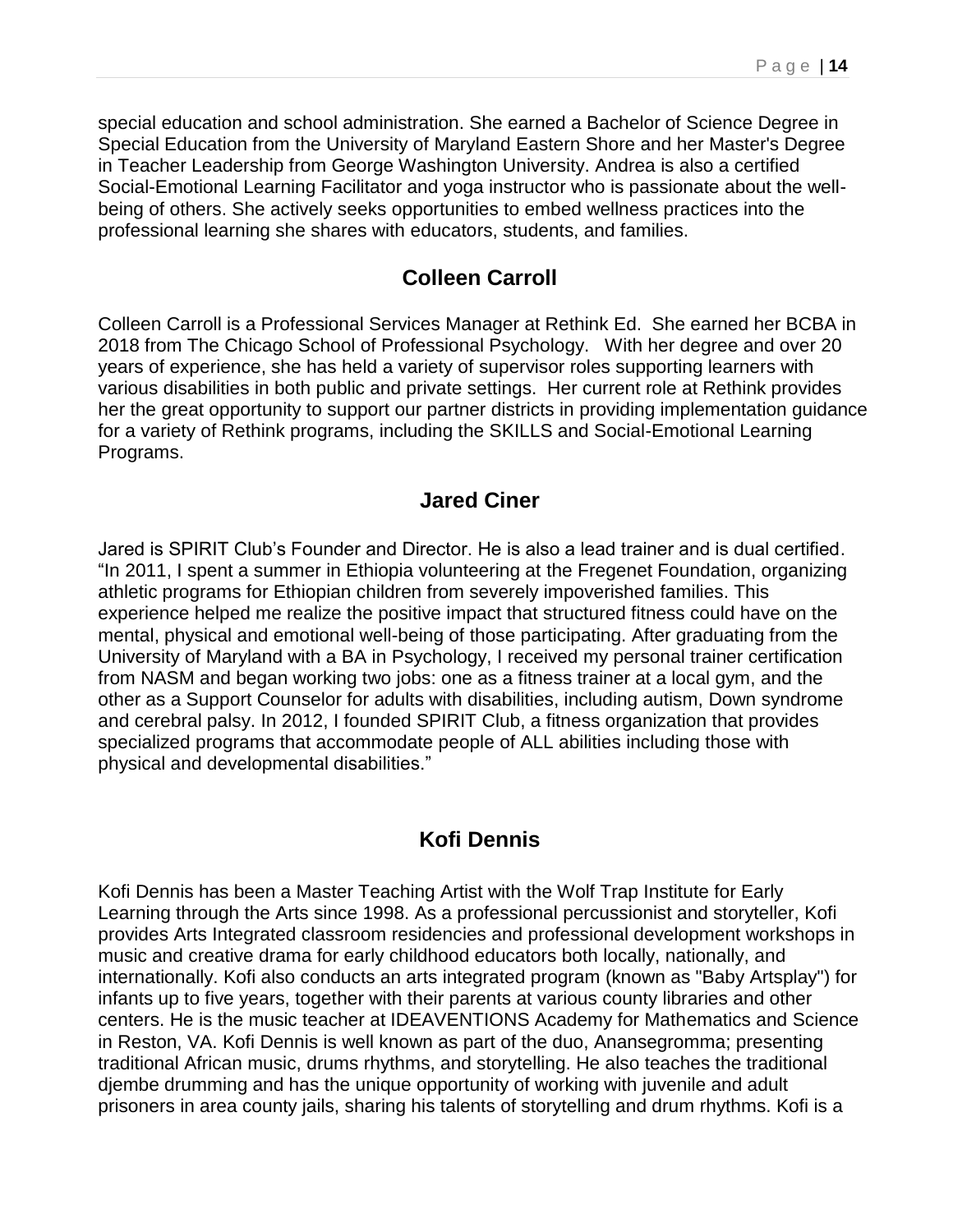special education and school administration. She earned a Bachelor of Science Degree in Special Education from the University of Maryland Eastern Shore and her Master's Degree in Teacher Leadership from George Washington University. Andrea is also a certified Social-Emotional Learning Facilitator and yoga instructor who is passionate about the wellbeing of others. She actively seeks opportunities to embed wellness practices into the professional learning she shares with educators, students, and families.

#### **Colleen Carroll**

Colleen Carroll is a Professional Services Manager at Rethink Ed. She earned her BCBA in 2018 from The Chicago School of Professional Psychology. With her degree and over 20 years of experience, she has held a variety of supervisor roles supporting learners with various disabilities in both public and private settings. Her current role at Rethink provides her the great opportunity to support our partner districts in providing implementation guidance for a variety of Rethink programs, including the SKILLS and Social-Emotional Learning Programs.

#### **Jared Ciner**

Jared is SPIRIT Club's Founder and Director. He is also a lead trainer and is dual certified. "In 2011, I spent a summer in Ethiopia volunteering at the Fregenet Foundation, organizing athletic programs for Ethiopian children from severely impoverished families. This experience helped me realize the positive impact that structured fitness could have on the mental, physical and emotional well-being of those participating. After graduating from the University of Maryland with a BA in Psychology, I received my personal trainer certification from NASM and began working two jobs: one as a fitness trainer at a local gym, and the other as a Support Counselor for adults with disabilities, including autism, Down syndrome and cerebral palsy. In 2012, I founded SPIRIT Club, a fitness organization that provides specialized programs that accommodate people of ALL abilities including those with physical and developmental disabilities."

#### **Kofi Dennis**

Kofi Dennis has been a Master Teaching Artist with the Wolf Trap Institute for Early Learning through the Arts since 1998. As a professional percussionist and storyteller, Kofi provides Arts Integrated classroom residencies and professional development workshops in music and creative drama for early childhood educators both locally, nationally, and internationally. Kofi also conducts an arts integrated program (known as "Baby Artsplay") for infants up to five years, together with their parents at various county libraries and other centers. He is the music teacher at IDEAVENTIONS Academy for Mathematics and Science in Reston, VA. Kofi Dennis is well known as part of the duo, Anansegromma; presenting traditional African music, drums rhythms, and storytelling. He also teaches the traditional djembe drumming and has the unique opportunity of working with juvenile and adult prisoners in area county jails, sharing his talents of storytelling and drum rhythms. Kofi is a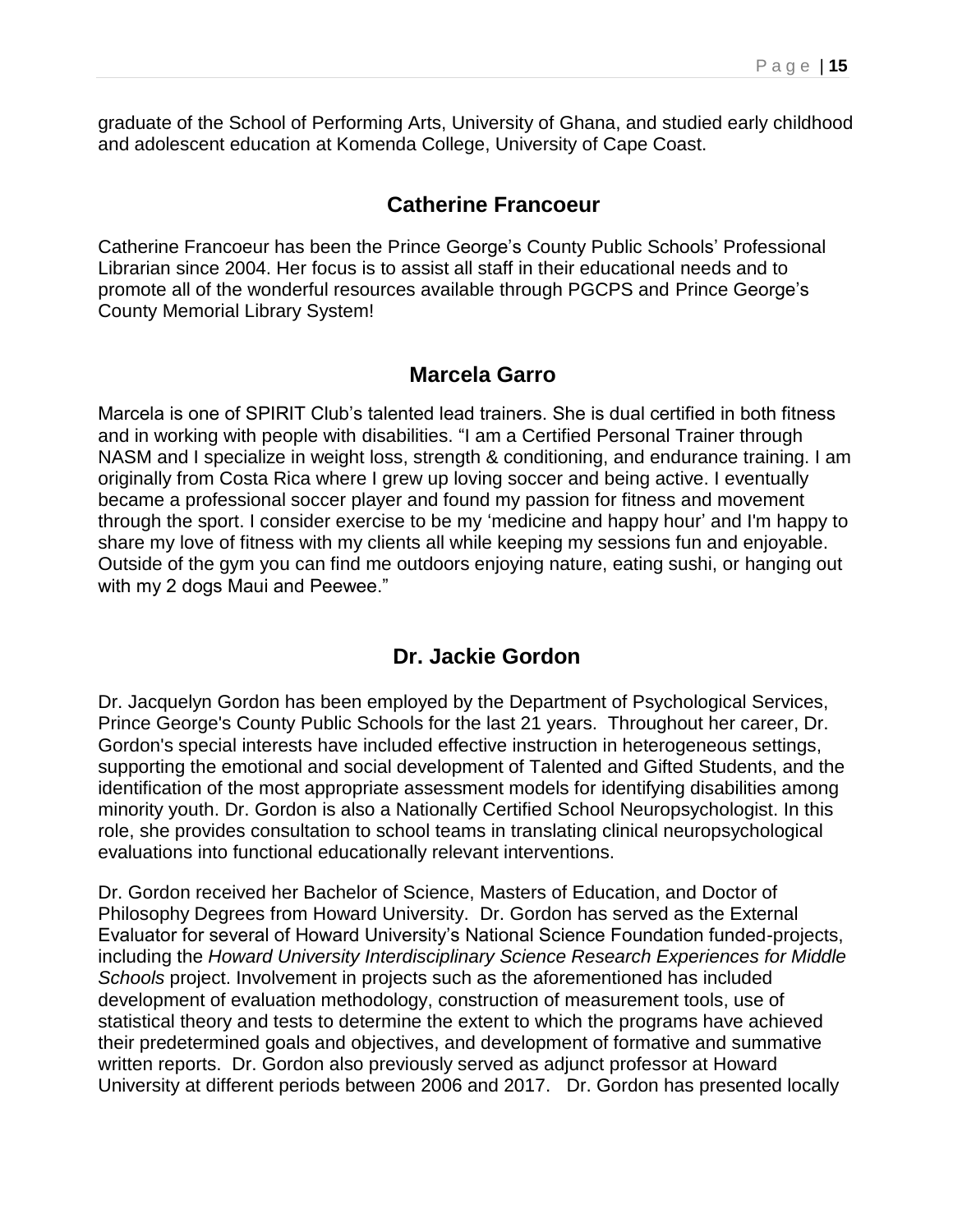graduate of the School of Performing Arts, University of Ghana, and studied early childhood and adolescent education at Komenda College, University of Cape Coast.

#### **Catherine Francoeur**

Catherine Francoeur has been the Prince George's County Public Schools' Professional Librarian since 2004. Her focus is to assist all staff in their educational needs and to promote all of the wonderful resources available through PGCPS and Prince George's County Memorial Library System!

#### **Marcela Garro**

Marcela is one of SPIRIT Club's talented lead trainers. She is dual certified in both fitness and in working with people with disabilities. "I am a Certified Personal Trainer through NASM and I specialize in weight loss, strength & conditioning, and endurance training. I am originally from Costa Rica where I grew up loving soccer and being active. I eventually became a professional soccer player and found my passion for fitness and movement through the sport. I consider exercise to be my 'medicine and happy hour' and I'm happy to share my love of fitness with my clients all while keeping my sessions fun and enjoyable. Outside of the gym you can find me outdoors enjoying nature, eating sushi, or hanging out with my 2 dogs Maui and Peewee."

### **Dr. Jackie Gordon**

Dr. Jacquelyn Gordon has been employed by the Department of Psychological Services, Prince George's County Public Schools for the last 21 years. Throughout her career, Dr. Gordon's special interests have included effective instruction in heterogeneous settings, supporting the emotional and social development of Talented and Gifted Students, and the identification of the most appropriate assessment models for identifying disabilities among minority youth. Dr. Gordon is also a Nationally Certified School Neuropsychologist. In this role, she provides consultation to school teams in translating clinical neuropsychological evaluations into functional educationally relevant interventions.

Dr. Gordon received her Bachelor of Science, Masters of Education, and Doctor of Philosophy Degrees from Howard University. Dr. Gordon has served as the External Evaluator for several of Howard University's National Science Foundation funded-projects, including the *Howard University Interdisciplinary Science Research Experiences for Middle Schools* project. Involvement in projects such as the aforementioned has included development of evaluation methodology, construction of measurement tools, use of statistical theory and tests to determine the extent to which the programs have achieved their predetermined goals and objectives, and development of formative and summative written reports. Dr. Gordon also previously served as adjunct professor at Howard University at different periods between 2006 and 2017. Dr. Gordon has presented locally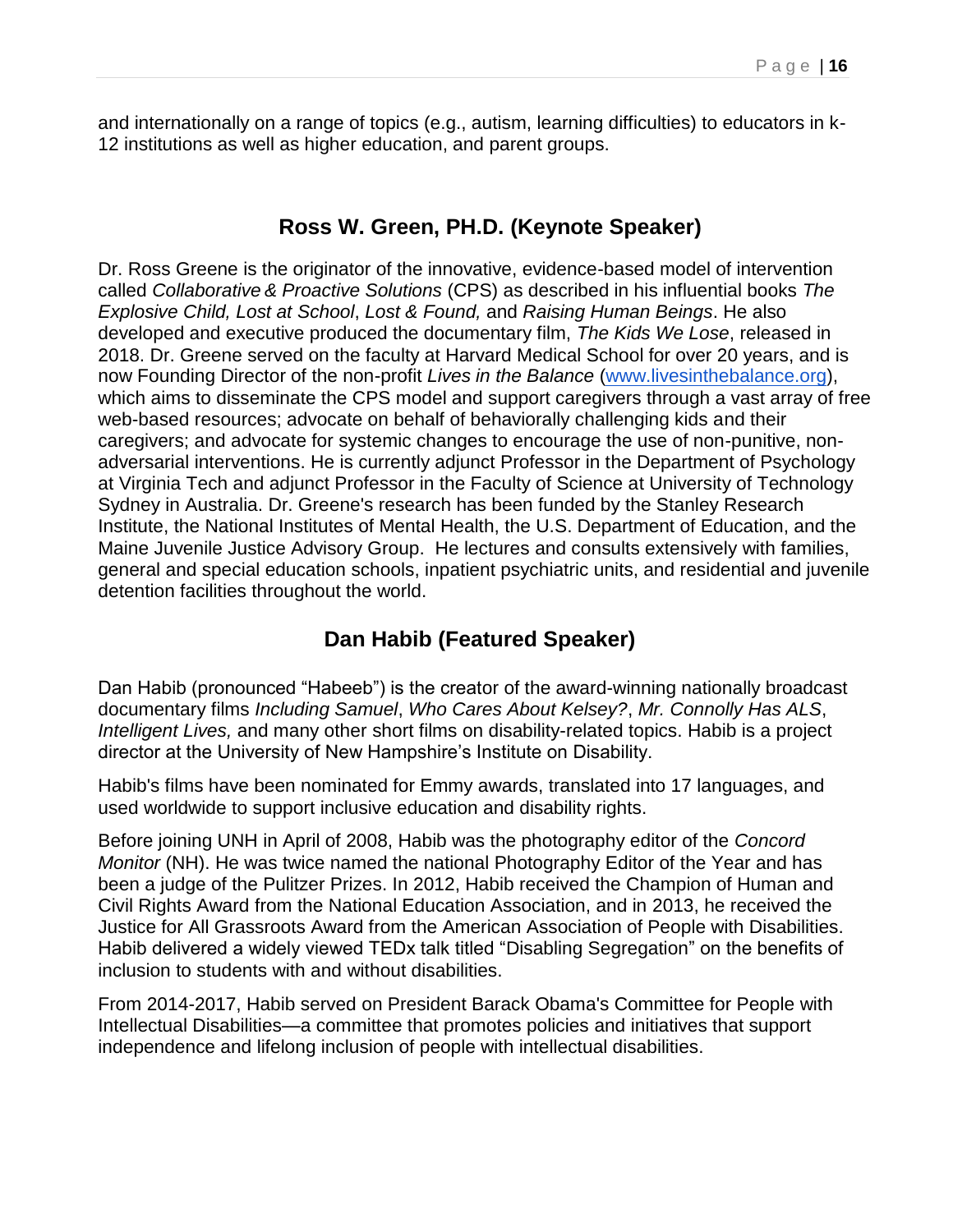and internationally on a range of topics (e.g., autism, learning difficulties) to educators in k-12 institutions as well as higher education, and parent groups.

#### **Ross W. Green, PH.D. (Keynote Speaker)**

Dr. Ross Greene is the originator of the innovative, evidence-based model of intervention called *Collaborative & Proactive Solutions* (CPS) as described in his influential books *The Explosive Child, Lost at School*, *Lost & Found,* and *Raising Human Beings*. He also developed and executive produced the documentary film, *The Kids We Lose*, released in 2018. Dr. Greene served on the faculty at Harvard Medical School for over 20 years, and is now Founding Director of the non-profit *Lives in the Balance* [\(www.livesinthebalance.org\)](http://www.livesinthebalance.org/), which aims to disseminate the CPS model and support caregivers through a vast array of free web-based resources; advocate on behalf of behaviorally challenging kids and their caregivers; and advocate for systemic changes to encourage the use of non-punitive, nonadversarial interventions. He is currently adjunct Professor in the Department of Psychology at Virginia Tech and adjunct Professor in the Faculty of Science at University of Technology Sydney in Australia. Dr. Greene's research has been funded by the Stanley Research Institute, the National Institutes of Mental Health, the U.S. Department of Education, and the Maine Juvenile Justice Advisory Group. He lectures and consults extensively with families, general and special education schools, inpatient psychiatric units, and residential and juvenile detention facilities throughout the world.

## **Dan Habib (Featured Speaker)**

Dan Habib (pronounced "Habeeb") is the creator of the award-winning nationally broadcast documentary films *[Including Samuel](http://www.includingsamuel.com/)*, *[Who Cares About Kelsey?](http://www.whocaresaboutkelsey.com/)*, *[Mr. Connolly Has ALS](http://www.imdb.com/title/tt6805494/?ref_=fn_al_tt_1)*, *[Intelligent Lives,](http://iod.unh.edu/projects/intelligent-lives)* and many other [short films o](http://whocaresaboutkelsey.com/about/the-mini-films)n disability-related topics. Habib is a project director at the University of New Hampshire's Institute on Disability.

Habib's films have been nominated for Emmy awards, translated into 17 languages, and used worldwide to support inclusive education and disability rights.

Before joining UNH in April of 2008, Habib was the photography editor of the *Concord Monitor* (NH). He was twice named the national Photography Editor of the Year and has been a judge of the Pulitzer Prizes. In 2012, Habib received the Champion of Human and Civil Rights Award from the National Education Association, and in 2013, he received the Justice for All Grassroots Award from the American Association of People with Disabilities. Habib delivered a widely viewed TEDx talk titled ["Disabling Segregation"](https://www.youtube.com/watch?v=izkN5vLbnw8) on the benefits of inclusion to students with and without disabilities.

From 2014-2017, Habib served on President Barack Obama's Committee for People with Intellectual Disabilities—a committee that promotes policies and initiatives that support independence and lifelong inclusion of people with intellectual disabilities.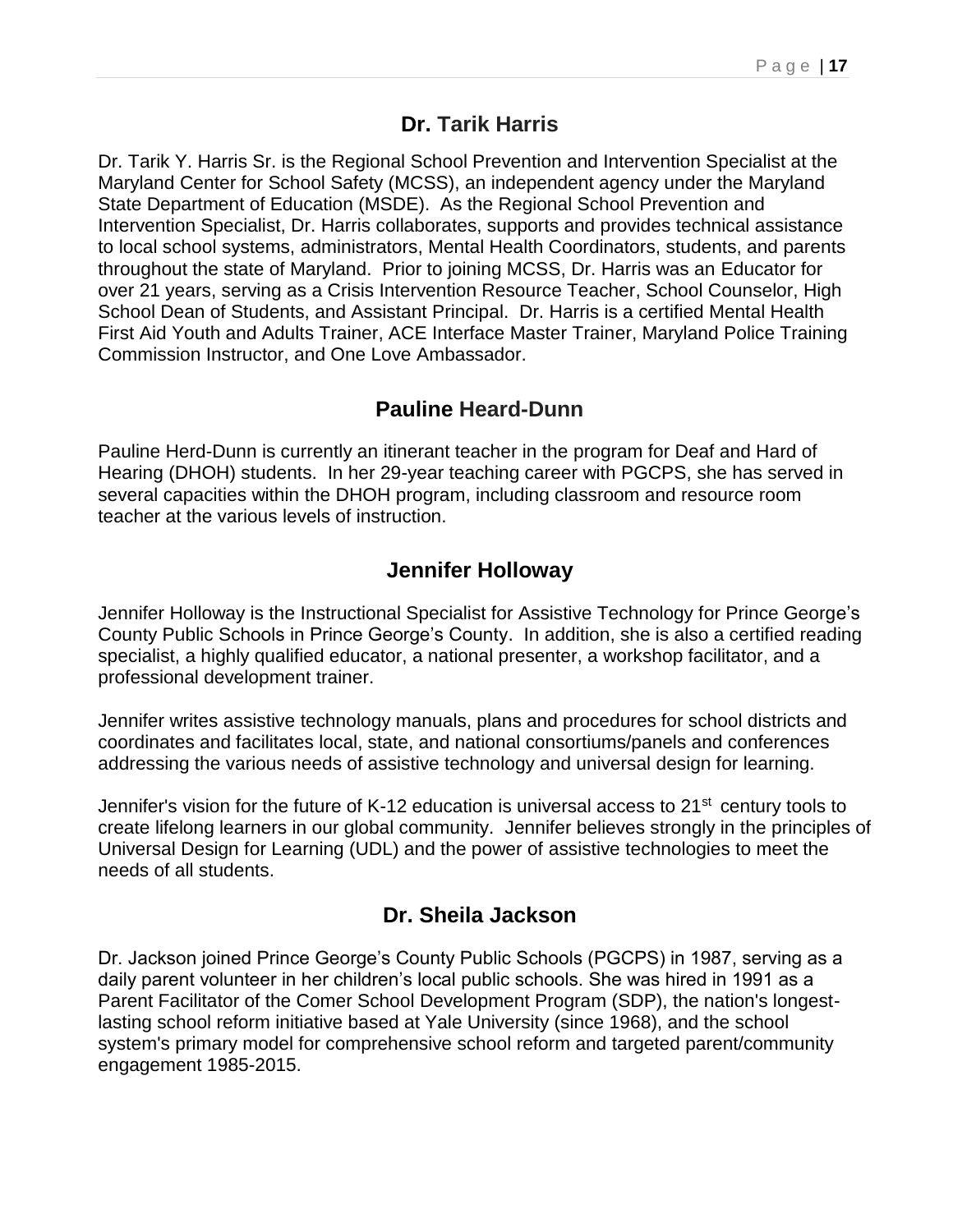#### **Dr. Tarik Harris**

Dr. Tarik Y. Harris Sr. is the Regional School Prevention and Intervention Specialist at the Maryland Center for School Safety (MCSS), an independent agency under the Maryland State Department of Education (MSDE). As the Regional School Prevention and Intervention Specialist, Dr. Harris collaborates, supports and provides technical assistance to local school systems, administrators, Mental Health Coordinators, students, and parents throughout the state of Maryland. Prior to joining MCSS, Dr. Harris was an Educator for over 21 years, serving as a Crisis Intervention Resource Teacher, School Counselor, High School Dean of Students, and Assistant Principal. Dr. Harris is a certified Mental Health First Aid Youth and Adults Trainer, ACE Interface Master Trainer, Maryland Police Training Commission Instructor, and One Love Ambassador.

#### **Pauline Heard-Dunn**

Pauline Herd-Dunn is currently an itinerant teacher in the program for Deaf and Hard of Hearing (DHOH) students. In her 29-year teaching career with PGCPS, she has served in several capacities within the DHOH program, including classroom and resource room teacher at the various levels of instruction.

#### **Jennifer Holloway**

Jennifer Holloway is the Instructional Specialist for Assistive Technology for Prince George's County Public Schools in Prince George's County. In addition, she is also a certified reading specialist, a highly qualified educator, a national presenter, a workshop facilitator, and a professional development trainer.

Jennifer writes assistive technology manuals, plans and procedures for school districts and coordinates and facilitates local, state, and national consortiums/panels and conferences addressing the various needs of assistive technology and universal design for learning.

Jennifer's vision for the future of K-12 education is universal access to 21<sup>st</sup> century tools to create lifelong learners in our global community. Jennifer believes strongly in the principles of Universal Design for Learning (UDL) and the power of assistive technologies to meet the needs of all students.

#### **Dr. Sheila Jackson**

Dr. Jackson joined Prince George's County Public Schools (PGCPS) in 1987, serving as a daily parent volunteer in her children's local public schools. She was hired in 1991 as a Parent Facilitator of the Comer School Development Program (SDP), the nation's longestlasting school reform initiative based at Yale University (since 1968), and the school system's primary model for comprehensive school reform and targeted parent/community engagement 1985-2015.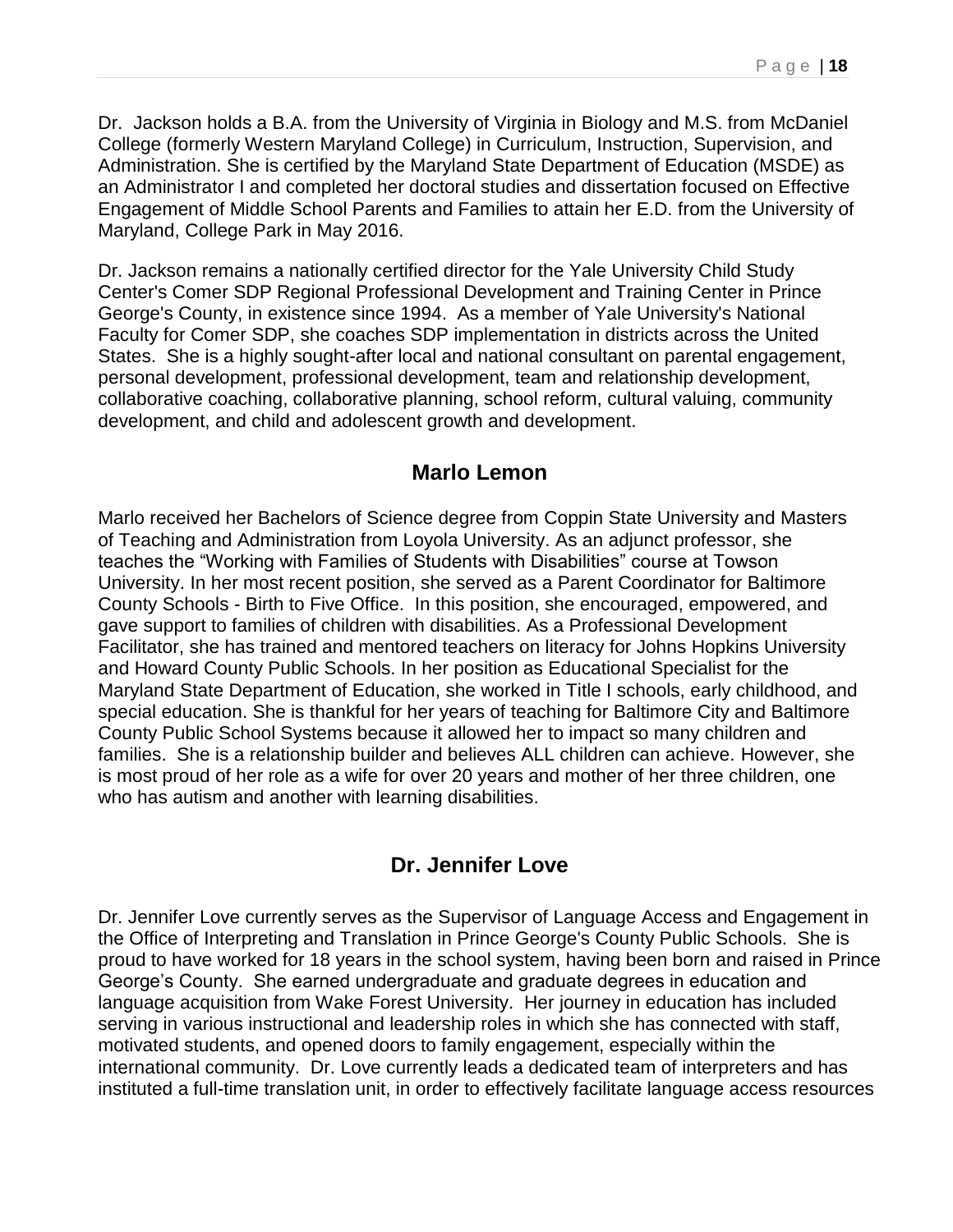Dr. Jackson holds a B.A. from the University of Virginia in Biology and M.S. from McDaniel College (formerly Western Maryland College) in Curriculum, Instruction, Supervision, and Administration. She is certified by the Maryland State Department of Education (MSDE) as an Administrator I and completed her doctoral studies and dissertation focused on Effective Engagement of Middle School Parents and Families to attain her E.D. from the University of Maryland, College Park in May 2016.

Dr. Jackson remains a nationally certified director for the Yale University Child Study Center's Comer SDP Regional Professional Development and Training Center in Prince George's County, in existence since 1994. As a member of Yale University's National Faculty for Comer SDP, she coaches SDP implementation in districts across the United States. She is a highly sought-after local and national consultant on parental engagement, personal development, professional development, team and relationship development, collaborative coaching, collaborative planning, school reform, cultural valuing, community development, and child and adolescent growth and development.

### **Marlo Lemon**

Marlo received her Bachelors of Science degree from Coppin State University and Masters of Teaching and Administration from Loyola University. As an adjunct professor, she teaches the "Working with Families of Students with Disabilities" course at Towson University. In her most recent position, she served as a Parent Coordinator for Baltimore County Schools - Birth to Five Office. In this position, she encouraged, empowered, and gave support to families of children with disabilities. As a Professional Development Facilitator, she has trained and mentored teachers on literacy for Johns Hopkins University and Howard County Public Schools. In her position as Educational Specialist for the Maryland State Department of Education, she worked in Title I schools, early childhood, and special education. She is thankful for her years of teaching for Baltimore City and Baltimore County Public School Systems because it allowed her to impact so many children and families. She is a relationship builder and believes ALL children can achieve. However, she is most proud of her role as a wife for over 20 years and mother of her three children, one who has autism and another with learning disabilities.

### **Dr. Jennifer Love**

Dr. Jennifer Love currently serves as the Supervisor of Language Access and Engagement in the Office of Interpreting and Translation in Prince George's County Public Schools. She is proud to have worked for 18 years in the school system, having been born and raised in Prince George's County. She earned undergraduate and graduate degrees in education and language acquisition from Wake Forest University. Her journey in education has included serving in various instructional and leadership roles in which she has connected with staff, motivated students, and opened doors to family engagement, especially within the international community. Dr. Love currently leads a dedicated team of interpreters and has instituted a full-time translation unit, in order to effectively facilitate language access resources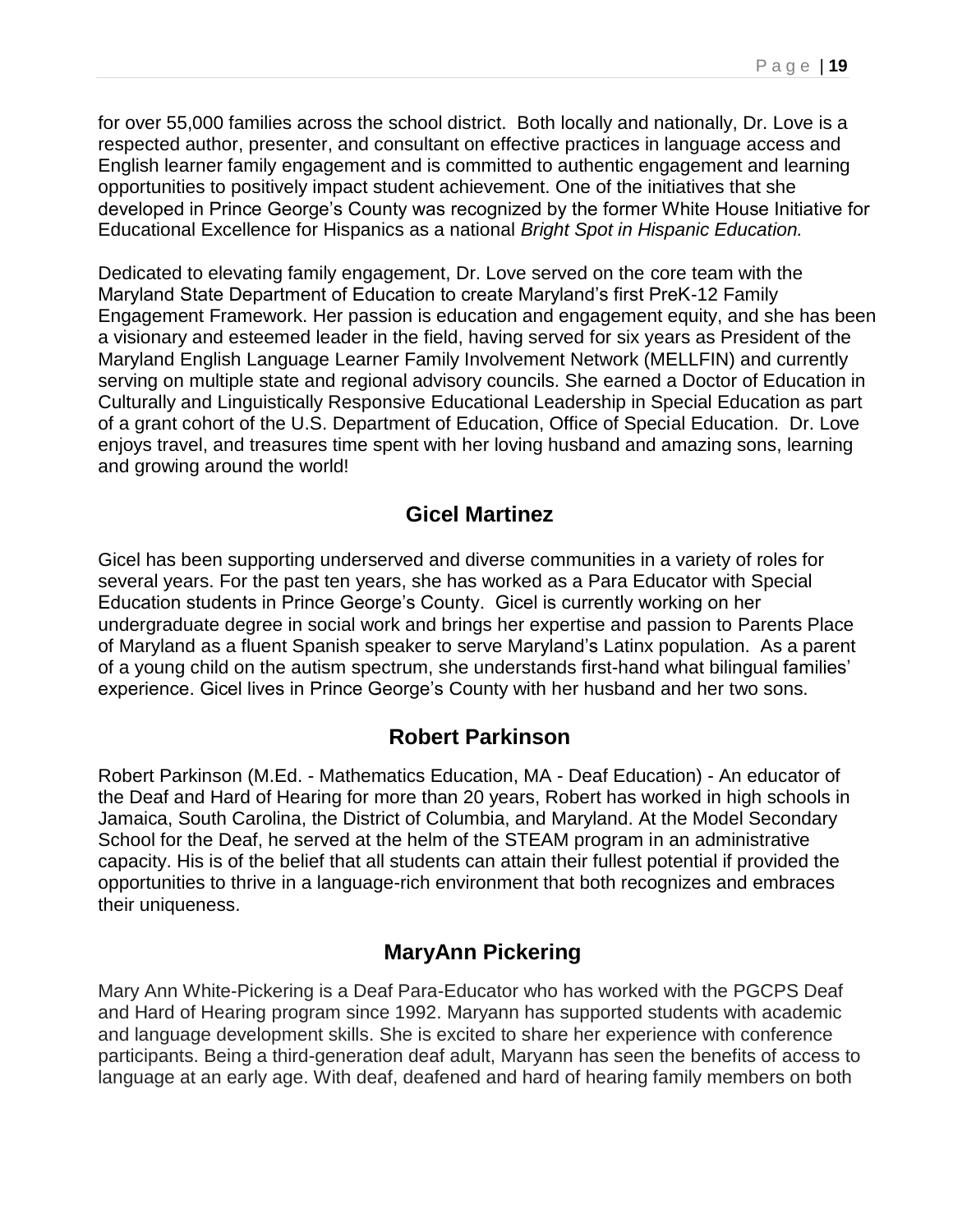for over 55,000 families across the school district. Both locally and nationally, Dr. Love is a respected author, presenter, and consultant on effective practices in language access and English learner family engagement and is committed to authentic engagement and learning opportunities to positively impact student achievement. One of the initiatives that she developed in Prince George's County was recognized by the former White House Initiative for Educational Excellence for Hispanics as a national *Bright Spot in Hispanic Education.* 

Dedicated to elevating family engagement, Dr. Love served on the core team with the Maryland State Department of Education to create Maryland's first PreK-12 Family Engagement Framework. Her passion is education and engagement equity, and she has been a visionary and esteemed leader in the field, having served for six years as President of the Maryland English Language Learner Family Involvement Network (MELLFIN) and currently serving on multiple state and regional advisory councils. She earned a Doctor of Education in Culturally and Linguistically Responsive Educational Leadership in Special Education as part of a grant cohort of the U.S. Department of Education, Office of Special Education. Dr. Love enjoys travel, and treasures time spent with her loving husband and amazing sons, learning and growing around the world!

#### **Gicel Martinez**

Gicel has been supporting underserved and diverse communities in a variety of roles for several years. For the past ten years, she has worked as a Para Educator with Special Education students in Prince George's County. Gicel is currently working on her undergraduate degree in social work and brings her expertise and passion to Parents Place of Maryland as a fluent Spanish speaker to serve Maryland's Latinx population. As a parent of a young child on the autism spectrum, she understands first-hand what bilingual families' experience. Gicel lives in Prince George's County with her husband and her two sons.

#### **Robert Parkinson**

Robert Parkinson (M.Ed. - Mathematics Education, MA - Deaf Education) - An educator of the Deaf and Hard of Hearing for more than 20 years, Robert has worked in high schools in Jamaica, South Carolina, the District of Columbia, and Maryland. At the Model Secondary School for the Deaf, he served at the helm of the STEAM program in an administrative capacity. His is of the belief that all students can attain their fullest potential if provided the opportunities to thrive in a language-rich environment that both recognizes and embraces their uniqueness.

## **MaryAnn Pickering**

Mary Ann White-Pickering is a Deaf Para-Educator who has worked with the PGCPS Deaf and Hard of Hearing program since 1992. Maryann has supported students with academic and language development skills. She is excited to share her experience with conference participants. Being a third-generation deaf adult, Maryann has seen the benefits of access to language at an early age. With deaf, deafened and hard of hearing family members on both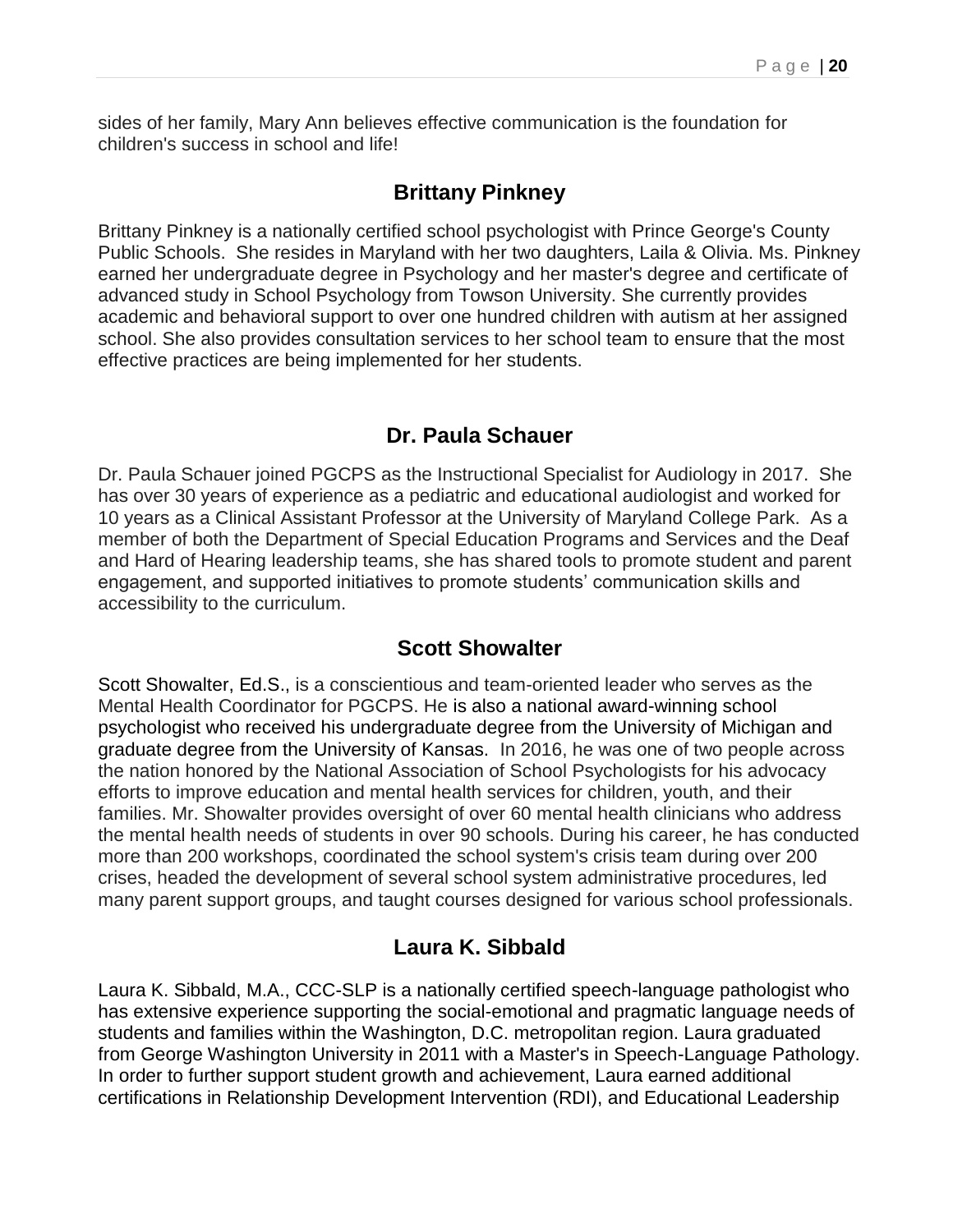sides of her family, Mary Ann believes effective communication is the foundation for children's success in school and life!

### **Brittany Pinkney**

Brittany Pinkney is a nationally certified school psychologist with Prince George's County Public Schools. She resides in Maryland with her two daughters, Laila & Olivia. Ms. Pinkney earned her undergraduate degree in Psychology and her master's degree and certificate of advanced study in School Psychology from Towson University. She currently provides academic and behavioral support to over one hundred children with autism at her assigned school. She also provides consultation services to her school team to ensure that the most effective practices are being implemented for her students.

### **Dr. Paula Schauer**

Dr. Paula Schauer joined PGCPS as the Instructional Specialist for Audiology in 2017. She has over 30 years of experience as a pediatric and educational audiologist and worked for 10 years as a Clinical Assistant Professor at the University of Maryland College Park. As a member of both the Department of Special Education Programs and Services and the Deaf and Hard of Hearing leadership teams, she has shared tools to promote student and parent engagement, and supported initiatives to promote students' communication skills and accessibility to the curriculum.

### **Scott Showalter**

Scott Showalter, Ed.S., is a conscientious and team-oriented leader who serves as the Mental Health Coordinator for PGCPS. He is also a national award-winning school psychologist who received his undergraduate degree from the University of Michigan and graduate degree from the University of Kansas. In 2016, he was one of two people across the nation honored by the National Association of School Psychologists for his advocacy efforts to improve education and mental health services for children, youth, and their families. Mr. Showalter provides oversight of over 60 mental health clinicians who address the mental health needs of students in over 90 schools. During his career, he has conducted more than 200 workshops, coordinated the school system's crisis team during over 200 crises, headed the development of several school system administrative procedures, led many parent support groups, and taught courses designed for various school professionals.

### **Laura K. Sibbald**

Laura K. Sibbald, M.A., CCC-SLP is a nationally certified speech-language pathologist who has extensive experience supporting the social-emotional and pragmatic language needs of students and families within the Washington, D.C. metropolitan region. Laura graduated from George Washington University in 2011 with a Master's in Speech-Language Pathology. In order to further support student growth and achievement, Laura earned additional certifications in Relationship Development Intervention (RDI), and Educational Leadership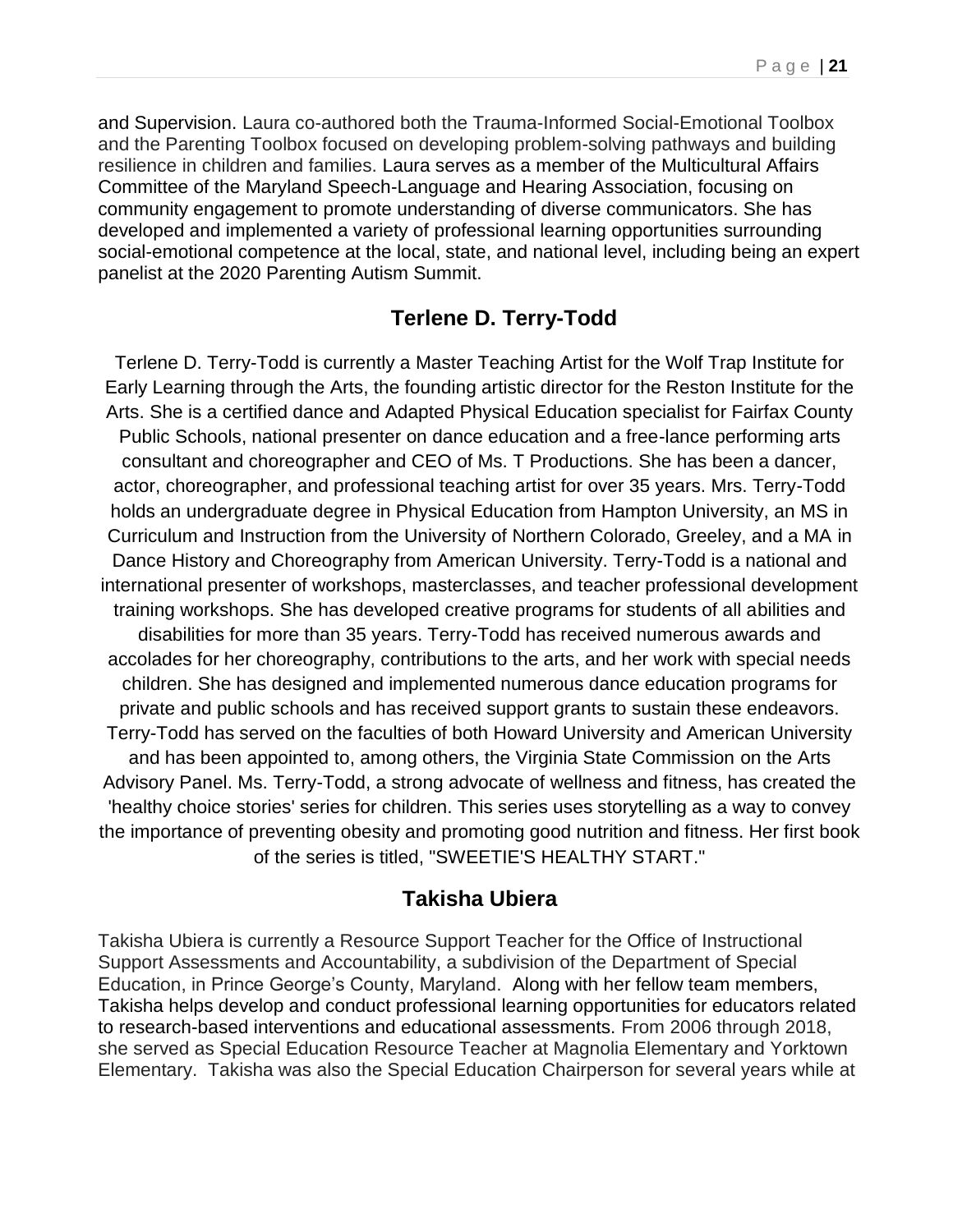and Supervision. Laura co-authored both the Trauma-Informed Social-Emotional Toolbox and the Parenting Toolbox focused on developing problem-solving pathways and building resilience in children and families. Laura serves as a member of the Multicultural Affairs Committee of the Maryland Speech-Language and Hearing Association, focusing on community engagement to promote understanding of diverse communicators. She has developed and implemented a variety of professional learning opportunities surrounding social-emotional competence at the local, state, and national level, including being an expert panelist at the 2020 Parenting Autism Summit.

#### **Terlene D. Terry-Todd**

Terlene D. Terry-Todd is currently a Master Teaching Artist for the Wolf Trap Institute for Early Learning through the Arts, the founding artistic director for the Reston Institute for the Arts. She is a certified dance and Adapted Physical Education specialist for Fairfax County Public Schools, national presenter on dance education and a free-lance performing arts consultant and choreographer and CEO of Ms. T Productions. She has been a dancer, actor, choreographer, and professional teaching artist for over 35 years. Mrs. Terry-Todd holds an undergraduate degree in Physical Education from Hampton University, an MS in Curriculum and Instruction from the University of Northern Colorado, Greeley, and a MA in Dance History and Choreography from American University. Terry-Todd is a national and international presenter of workshops, masterclasses, and teacher professional development training workshops. She has developed creative programs for students of all abilities and disabilities for more than 35 years. Terry-Todd has received numerous awards and accolades for her choreography, contributions to the arts, and her work with special needs children. She has designed and implemented numerous dance education programs for private and public schools and has received support grants to sustain these endeavors. Terry-Todd has served on the faculties of both Howard University and American University and has been appointed to, among others, the Virginia State Commission on the Arts Advisory Panel. Ms. Terry-Todd, a strong advocate of wellness and fitness, has created the 'healthy choice stories' series for children. This series uses storytelling as a way to convey the importance of preventing obesity and promoting good nutrition and fitness. Her first book of the series is titled, "SWEETIE'S HEALTHY START."

#### **Takisha Ubiera**

Takisha Ubiera is currently a Resource Support Teacher for the Office of Instructional Support Assessments and Accountability, a subdivision of the Department of Special Education, in Prince George's County, Maryland. Along with her fellow team members, Takisha helps develop and conduct professional learning opportunities for educators related to research-based interventions and educational assessments. From 2006 through 2018, she served as Special Education Resource Teacher at Magnolia Elementary and Yorktown Elementary. Takisha was also the Special Education Chairperson for several years while at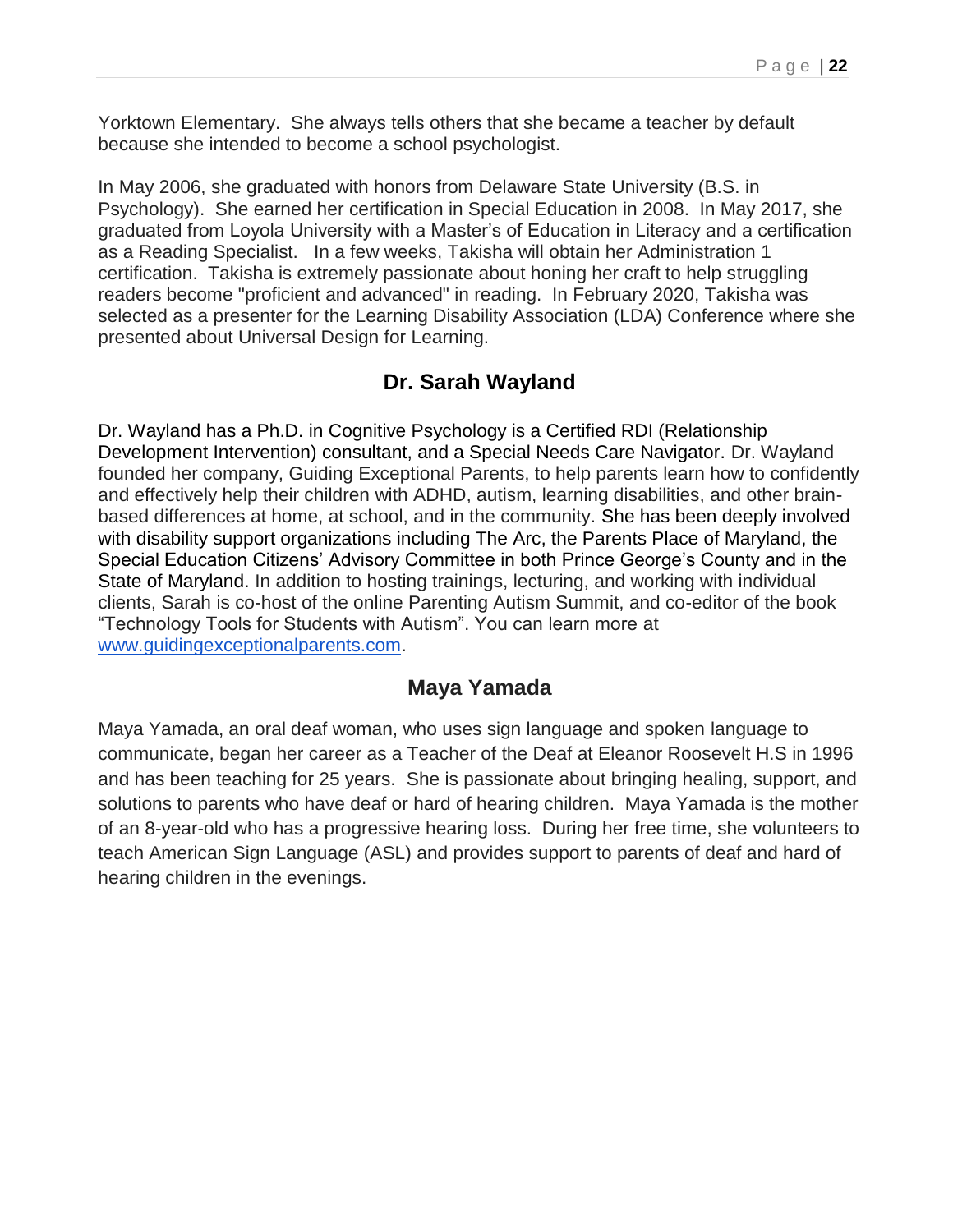Yorktown Elementary. She always tells others that she became a teacher by default because she intended to become a school psychologist.

In May 2006, she graduated with honors from Delaware State University (B.S. in Psychology). She earned her certification in Special Education in 2008. In May 2017, she graduated from Loyola University with a Master's of Education in Literacy and a certification as a Reading Specialist. In a few weeks, Takisha will obtain her Administration 1 certification. Takisha is extremely passionate about honing her craft to help struggling readers become "proficient and advanced" in reading. In February 2020, Takisha was selected as a presenter for the Learning Disability Association (LDA) Conference where she presented about Universal Design for Learning.

### **Dr. Sarah Wayland**

Dr. Wayland has a Ph.D. in Cognitive Psychology is a Certified RDI (Relationship Development Intervention) consultant, and a Special Needs Care Navigator. Dr. Wayland founded her company, Guiding Exceptional Parents, to help parents learn how to confidently and effectively help their children with ADHD, autism, learning disabilities, and other brainbased differences at home, at school, and in the community. She has been deeply involved with disability support organizations including The Arc, the Parents Place of Maryland, the Special Education Citizens' Advisory Committee in both Prince George's County and in the State of Maryland. In addition to hosting trainings, lecturing, and working with individual clients, Sarah is co-host of the online Parenting Autism Summit, and co-editor of the book "Technology Tools for Students with Autism". You can learn more at [www.guidingexceptionalparents.com.](http://www.guidingexceptionalparents.com/)

#### **Maya Yamada**

Maya Yamada, an oral deaf woman, who uses sign language and spoken language to communicate, began her career as a Teacher of the Deaf at Eleanor Roosevelt H.S in 1996 and has been teaching for 25 years. She is passionate about bringing healing, support, and solutions to parents who have deaf or hard of hearing children. Maya Yamada is the mother of an 8-year-old who has a progressive hearing loss. During her free time, she volunteers to teach American Sign Language (ASL) and provides support to parents of deaf and hard of hearing children in the evenings.